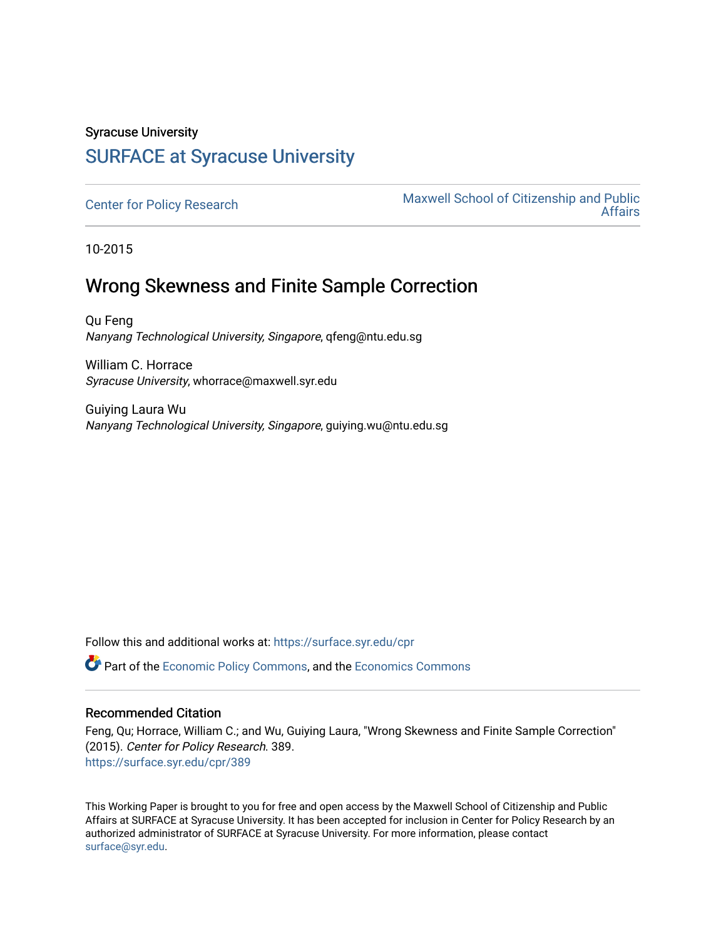### Syracuse University [SURFACE at Syracuse University](https://surface.syr.edu/)

[Center for Policy Research](https://surface.syr.edu/cpr) Maxwell School of Citizenship and Public [Affairs](https://surface.syr.edu/maxwell) 

10-2015

## Wrong Skewness and Finite Sample Correction

Qu Feng Nanyang Technological University, Singapore, qfeng@ntu.edu.sg

William C. Horrace Syracuse University, whorrace@maxwell.syr.edu

Guiying Laura Wu Nanyang Technological University, Singapore, guiying.wu@ntu.edu.sg

Follow this and additional works at: [https://surface.syr.edu/cpr](https://surface.syr.edu/cpr?utm_source=surface.syr.edu%2Fcpr%2F389&utm_medium=PDF&utm_campaign=PDFCoverPages) 

**C** Part of the [Economic Policy Commons](http://network.bepress.com/hgg/discipline/1025?utm_source=surface.syr.edu%2Fcpr%2F389&utm_medium=PDF&utm_campaign=PDFCoverPages), and the [Economics Commons](http://network.bepress.com/hgg/discipline/340?utm_source=surface.syr.edu%2Fcpr%2F389&utm_medium=PDF&utm_campaign=PDFCoverPages)

#### Recommended Citation

Feng, Qu; Horrace, William C.; and Wu, Guiying Laura, "Wrong Skewness and Finite Sample Correction" (2015). Center for Policy Research. 389. [https://surface.syr.edu/cpr/389](https://surface.syr.edu/cpr/389?utm_source=surface.syr.edu%2Fcpr%2F389&utm_medium=PDF&utm_campaign=PDFCoverPages) 

This Working Paper is brought to you for free and open access by the Maxwell School of Citizenship and Public Affairs at SURFACE at Syracuse University. It has been accepted for inclusion in Center for Policy Research by an authorized administrator of SURFACE at Syracuse University. For more information, please contact [surface@syr.edu.](mailto:surface@syr.edu)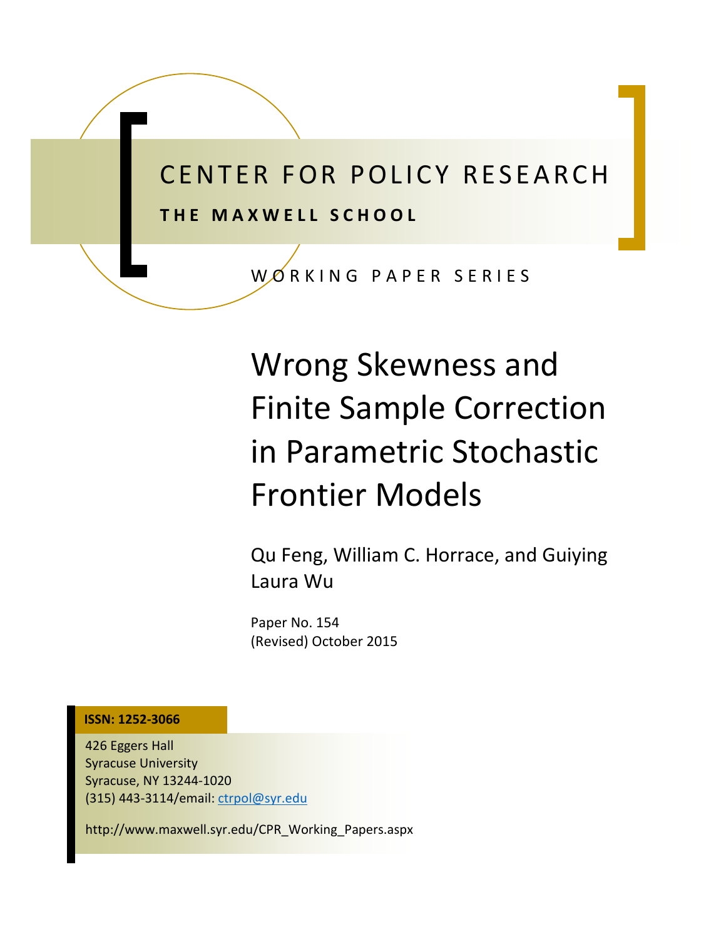## CENTER FOR POLICY RESEARCH **THE MAXWELL SCHOOL**

WORKING PAPER SERIES

# Wrong Skewness and Finite Sample Correction in Parametric Stochastic Frontier Models

Qu Feng, William C. Horrace, and Guiying Laura Wu

Paper No. 154 (Revised) October 2015

**ISSN: 1252-3066**

426 Eggers Hall Syracuse University Syracuse, NY 13244-1020 (315) 443-3114/email: ctrpol@syr.edu

http://www.maxwell.syr.edu/CPR\_Working\_Papers.aspx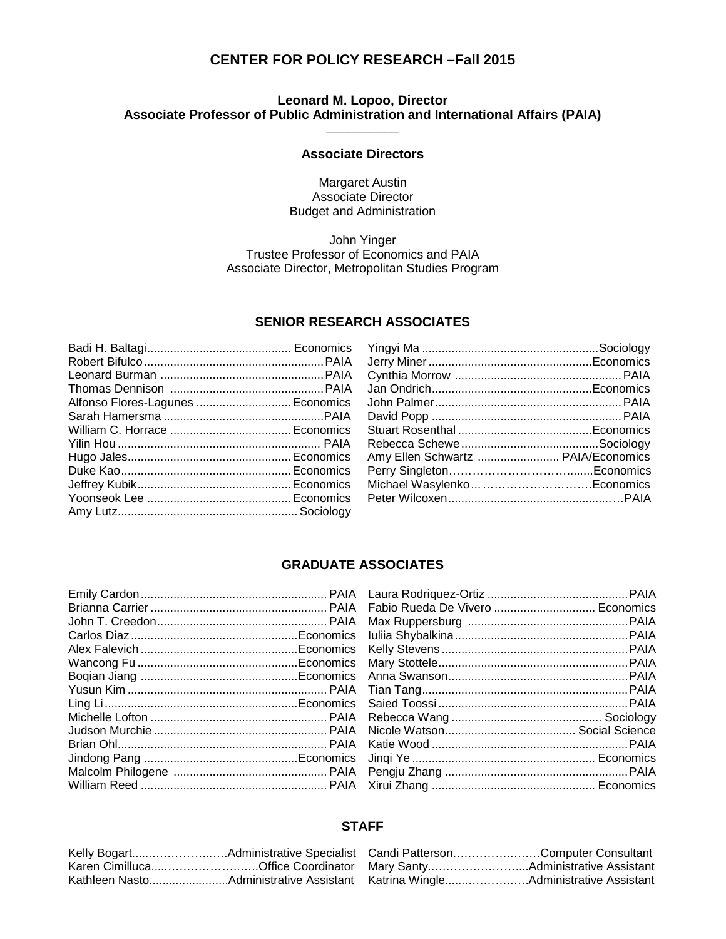#### **CENTER FOR POLICY RESEARCH –Fall 2015**

#### **Leonard M. Lopoo, Director Associate Professor of Public Administration and International Affairs (PAIA) \_\_\_\_\_\_\_\_\_\_**

#### **Associate Directors**

Margaret Austin Associate Director Budget and Administration

#### John Yinger Trustee Professor of Economics and PAIA Associate Director, Metropolitan Studies Program

#### **SENIOR RESEARCH ASSOCIATES**

| Alfonso Flores-Lagunes  Economics |  |
|-----------------------------------|--|
|                                   |  |
|                                   |  |
|                                   |  |
|                                   |  |
|                                   |  |
|                                   |  |
|                                   |  |
|                                   |  |
|                                   |  |

| Amy Ellen Schwartz  PAIA/Economics |  |
|------------------------------------|--|
|                                    |  |
| Michael WasylenkoEconomics         |  |
|                                    |  |
|                                    |  |

#### **GRADUATE ASSOCIATES**

#### **STAFF**

|  | Karen CimillucaOffice Coordinator Mary SantyAdministrative Assistant |
|--|----------------------------------------------------------------------|
|  |                                                                      |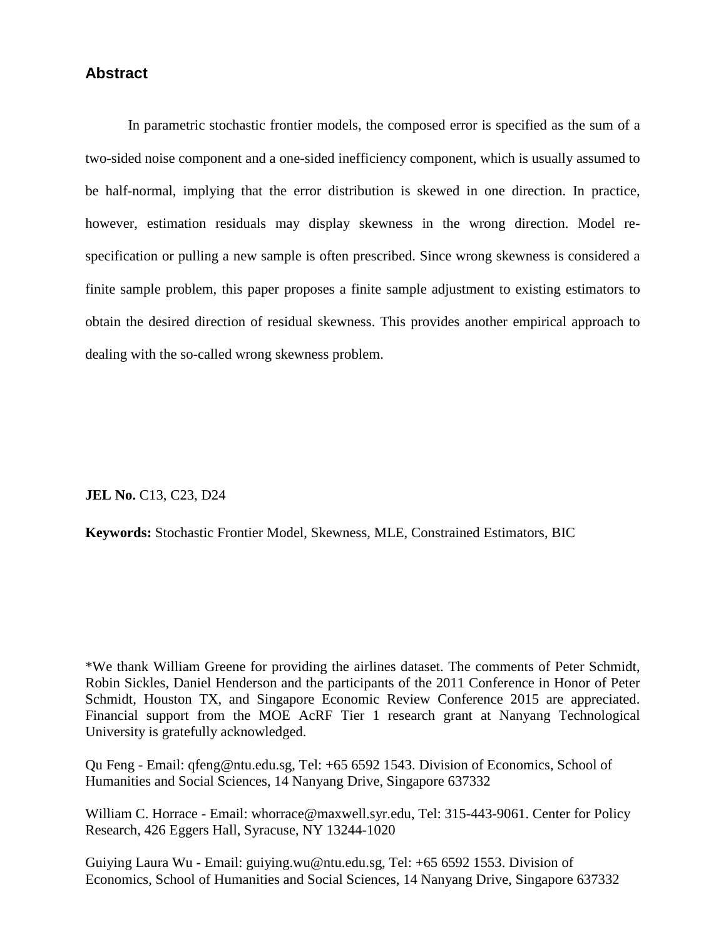#### **Abstract**

In parametric stochastic frontier models, the composed error is specified as the sum of a two-sided noise component and a one-sided inefficiency component, which is usually assumed to be half-normal, implying that the error distribution is skewed in one direction. In practice, however, estimation residuals may display skewness in the wrong direction. Model respecification or pulling a new sample is often prescribed. Since wrong skewness is considered a finite sample problem, this paper proposes a finite sample adjustment to existing estimators to obtain the desired direction of residual skewness. This provides another empirical approach to dealing with the so-called wrong skewness problem.

**JEL No.** C13, C23, D24

**Keywords:** Stochastic Frontier Model, Skewness, MLE, Constrained Estimators, BIC

\*We thank William Greene for providing the airlines dataset. The comments of Peter Schmidt, Robin Sickles, Daniel Henderson and the participants of the 2011 Conference in Honor of Peter Schmidt, Houston TX, and Singapore Economic Review Conference 2015 are appreciated. Financial support from the MOE AcRF Tier 1 research grant at Nanyang Technological University is gratefully acknowledged.

Qu Feng - Email: qfeng@ntu.edu.sg, Tel: +65 6592 1543. Division of Economics, School of Humanities and Social Sciences, 14 Nanyang Drive, Singapore 637332

William C. Horrace - Email: whorrace@maxwell.syr.edu, Tel: 315-443-9061. Center for Policy Research, 426 Eggers Hall, Syracuse, NY 13244-1020

Guiying Laura Wu - Email: guiying.wu@ntu.edu.sg, Tel: +65 6592 1553. Division of Economics, School of Humanities and Social Sciences, 14 Nanyang Drive, Singapore 637332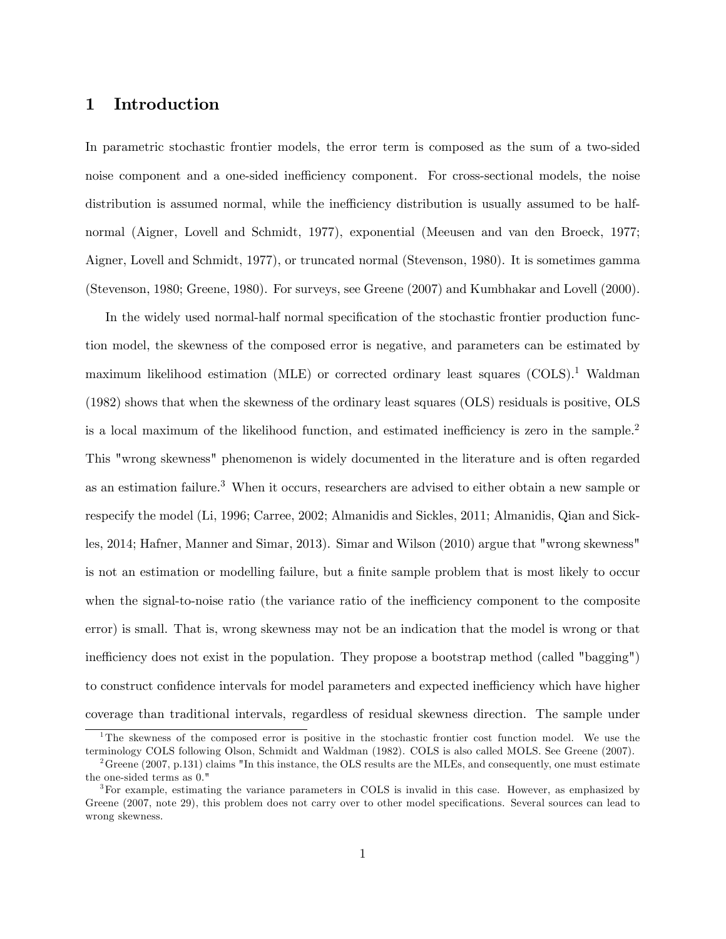#### 1 Introduction

In parametric stochastic frontier models, the error term is composed as the sum of a two-sided noise component and a one-sided inefficiency component. For cross-sectional models, the noise distribution is assumed normal, while the inefficiency distribution is usually assumed to be halfnormal (Aigner, Lovell and Schmidt, 1977), exponential (Meeusen and van den Broeck, 1977; Aigner, Lovell and Schmidt, 1977), or truncated normal (Stevenson, 1980). It is sometimes gamma (Stevenson, 1980; Greene, 1980). For surveys, see Greene (2007) and Kumbhakar and Lovell (2000).

In the widely used normal-half normal specification of the stochastic frontier production function model, the skewness of the composed error is negative, and parameters can be estimated by maximum likelihood estimation (MLE) or corrected ordinary least squares (COLS).<sup>1</sup> Waldman (1982) shows that when the skewness of the ordinary least squares (OLS) residuals is positive, OLS is a local maximum of the likelihood function, and estimated inefficiency is zero in the sample.<sup>2</sup> This "wrong skewness" phenomenon is widely documented in the literature and is often regarded as an estimation failure.<sup>3</sup> When it occurs, researchers are advised to either obtain a new sample or respecify the model (Li, 1996; Carree, 2002; Almanidis and Sickles, 2011; Almanidis, Qian and Sickles, 2014; Hafner, Manner and Simar, 2013). Simar and Wilson (2010) argue that "wrong skewness" is not an estimation or modelling failure, but a finite sample problem that is most likely to occur when the signal-to-noise ratio (the variance ratio of the inefficiency component to the composite error) is small. That is, wrong skewness may not be an indication that the model is wrong or that inefficiency does not exist in the population. They propose a bootstrap method (called "bagging") to construct confidence intervals for model parameters and expected inefficiency which have higher coverage than traditional intervals, regardless of residual skewness direction. The sample under

<sup>&</sup>lt;sup>1</sup>The skewness of the composed error is positive in the stochastic frontier cost function model. We use the terminology COLS following Olson, Schmidt and Waldman (1982). COLS is also called MOLS. See Greene (2007).

 $^{2}$ Greene (2007, p.131) claims "In this instance, the OLS results are the MLEs, and consequently, one must estimate the one-sided terms as 0."

<sup>3</sup>For example, estimating the variance parameters in COLS is invalid in this case. However, as emphasized by Greene (2007, note 29), this problem does not carry over to other model specifications. Several sources can lead to wrong skewness.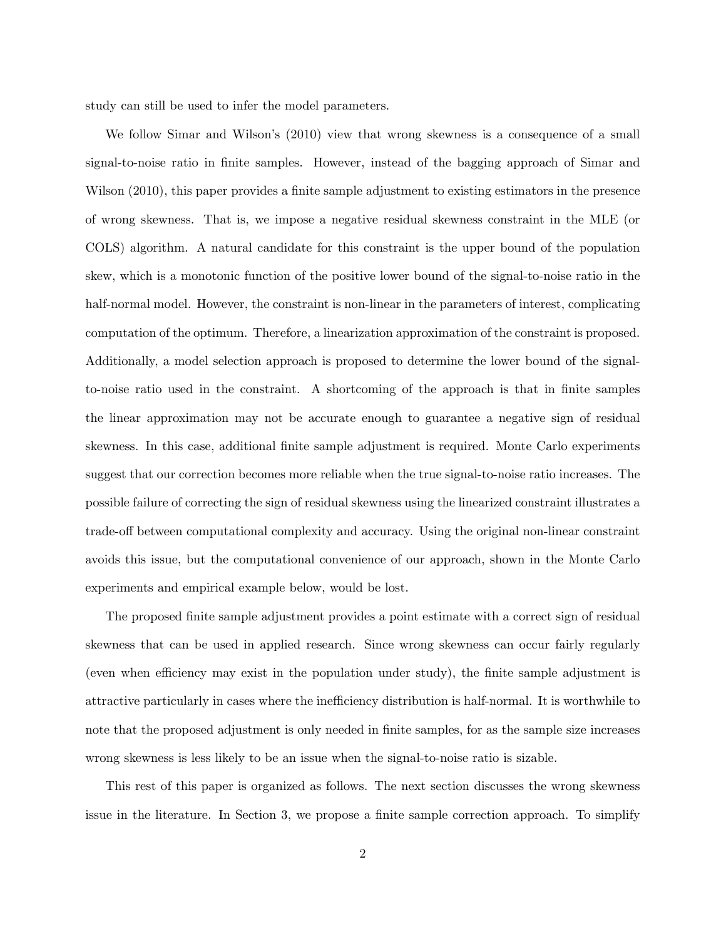study can still be used to infer the model parameters.

We follow Simar and Wilson's (2010) view that wrong skewness is a consequence of a small signal-to-noise ratio in finite samples. However, instead of the bagging approach of Simar and Wilson (2010), this paper provides a finite sample adjustment to existing estimators in the presence of wrong skewness. That is, we impose a negative residual skewness constraint in the MLE (or COLS) algorithm. A natural candidate for this constraint is the upper bound of the population skew, which is a monotonic function of the positive lower bound of the signal-to-noise ratio in the half-normal model. However, the constraint is non-linear in the parameters of interest, complicating computation of the optimum. Therefore, a linearization approximation of the constraint is proposed. Additionally, a model selection approach is proposed to determine the lower bound of the signalto-noise ratio used in the constraint. A shortcoming of the approach is that in Önite samples the linear approximation may not be accurate enough to guarantee a negative sign of residual skewness. In this case, additional finite sample adjustment is required. Monte Carlo experiments suggest that our correction becomes more reliable when the true signal-to-noise ratio increases. The possible failure of correcting the sign of residual skewness using the linearized constraint illustrates a trade-off between computational complexity and accuracy. Using the original non-linear constraint avoids this issue, but the computational convenience of our approach, shown in the Monte Carlo experiments and empirical example below, would be lost.

The proposed finite sample adjustment provides a point estimate with a correct sign of residual skewness that can be used in applied research. Since wrong skewness can occur fairly regularly (even when efficiency may exist in the population under study), the finite sample adjustment is attractive particularly in cases where the inefficiency distribution is half-normal. It is worthwhile to note that the proposed adjustment is only needed in finite samples, for as the sample size increases wrong skewness is less likely to be an issue when the signal-to-noise ratio is sizable.

This rest of this paper is organized as follows. The next section discusses the wrong skewness issue in the literature. In Section 3, we propose a finite sample correction approach. To simplify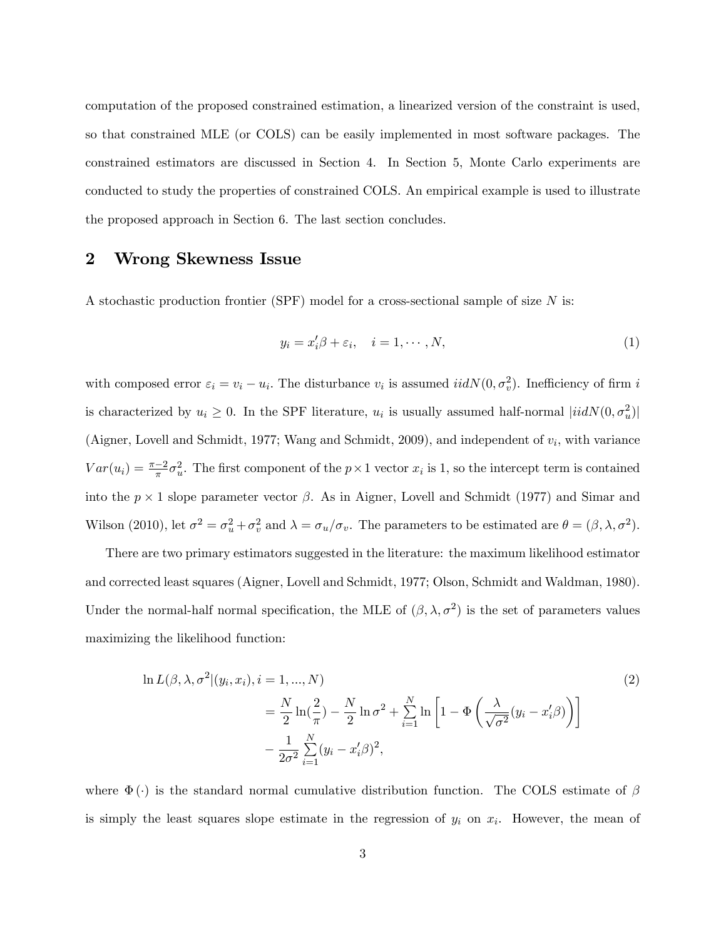computation of the proposed constrained estimation, a linearized version of the constraint is used, so that constrained MLE (or COLS) can be easily implemented in most software packages. The constrained estimators are discussed in Section 4. In Section 5, Monte Carlo experiments are conducted to study the properties of constrained COLS. An empirical example is used to illustrate the proposed approach in Section 6. The last section concludes.

#### 2 Wrong Skewness Issue

A stochastic production frontier (SPF) model for a cross-sectional sample of size  $N$  is:

$$
y_i = x_i' \beta + \varepsilon_i, \quad i = 1, \cdots, N,
$$
\n<sup>(1)</sup>

with composed error  $\varepsilon_i = v_i - u_i$ . The disturbance  $v_i$  is assumed  $iidN(0, \sigma_v^2)$ . Inefficiency of firm i is characterized by  $u_i \geq 0$ . In the SPF literature,  $u_i$  is usually assumed half-normal  $|iidN(0, \sigma_u^2)|$ (Aigner, Lovell and Schmidt, 1977; Wang and Schmidt, 2009), and independent of  $v_i$ , with variance  $Var(u_i) = \frac{\pi - 2}{\pi} \sigma_u^2$ . The first component of the  $p \times 1$  vector  $x_i$  is 1, so the intercept term is contained into the  $p \times 1$  slope parameter vector  $\beta$ . As in Aigner, Lovell and Schmidt (1977) and Simar and Wilson (2010), let  $\sigma^2 = \sigma_u^2 + \sigma_v^2$  and  $\lambda = \sigma_u/\sigma_v$ . The parameters to be estimated are  $\theta = (\beta, \lambda, \sigma^2)$ .

There are two primary estimators suggested in the literature: the maximum likelihood estimator and corrected least squares (Aigner, Lovell and Schmidt, 1977; Olson, Schmidt and Waldman, 1980). Under the normal-half normal specification, the MLE of  $(\beta, \lambda, \sigma^2)$  is the set of parameters values maximizing the likelihood function:

$$
\ln L(\beta, \lambda, \sigma^2 | (y_i, x_i), i = 1, ..., N) \n= \frac{N}{2} \ln(\frac{2}{\pi}) - \frac{N}{2} \ln \sigma^2 + \sum_{i=1}^N \ln \left[ 1 - \Phi \left( \frac{\lambda}{\sqrt{\sigma^2}} (y_i - x_i' \beta) \right) \right] \n- \frac{1}{2\sigma^2} \sum_{i=1}^N (y_i - x_i' \beta)^2,
$$
\n(2)

where  $\Phi(\cdot)$  is the standard normal cumulative distribution function. The COLS estimate of  $\beta$ is simply the least squares slope estimate in the regression of  $y_i$  on  $x_i$ . However, the mean of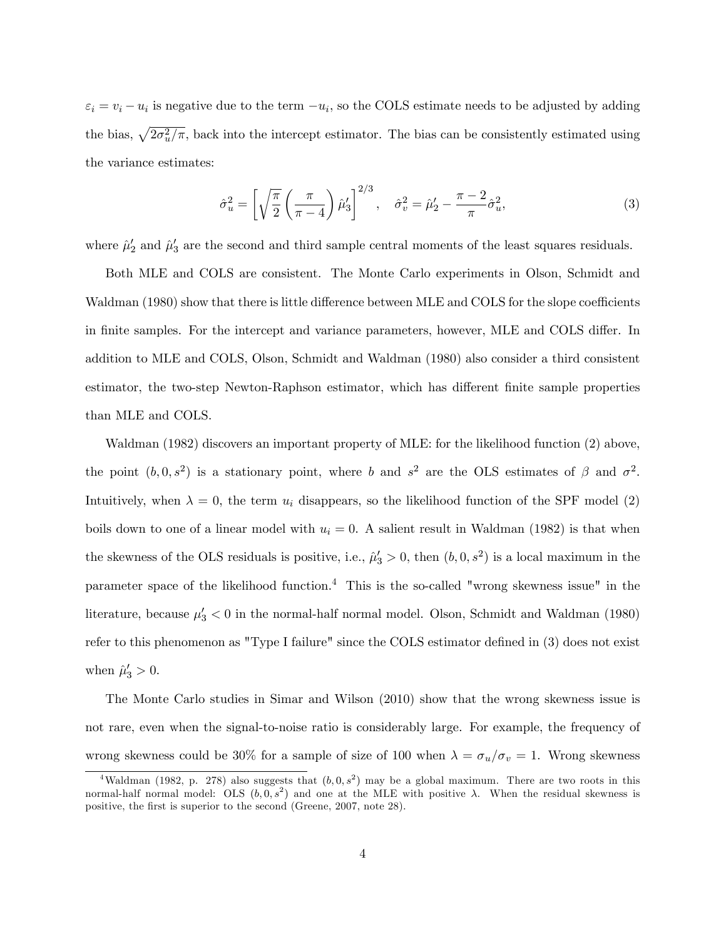$\varepsilon_i = v_i - u_i$  is negative due to the term  $-u_i$ , so the COLS estimate needs to be adjusted by adding the bias,  $\sqrt{2\sigma_u^2/\pi}$ , back into the intercept estimator. The bias can be consistently estimated using the variance estimates:

$$
\hat{\sigma}_u^2 = \left[ \sqrt{\frac{\pi}{2}} \left( \frac{\pi}{\pi - 4} \right) \hat{\mu}_3' \right]^{2/3}, \quad \hat{\sigma}_v^2 = \hat{\mu}_2' - \frac{\pi - 2}{\pi} \hat{\sigma}_u^2,\tag{3}
$$

where  $\hat{\mu}'_2$  and  $\hat{\mu}'_3$  are the second and third sample central moments of the least squares residuals.

Both MLE and COLS are consistent. The Monte Carlo experiments in Olson, Schmidt and Waldman (1980) show that there is little difference between MLE and COLS for the slope coefficients in finite samples. For the intercept and variance parameters, however, MLE and COLS differ. In addition to MLE and COLS, Olson, Schmidt and Waldman (1980) also consider a third consistent estimator, the two-step Newton-Raphson estimator, which has different finite sample properties than MLE and COLS.

Waldman (1982) discovers an important property of MLE: for the likelihood function (2) above, the point  $(b, 0, s^2)$  is a stationary point, where b and  $s^2$  are the OLS estimates of  $\beta$  and  $\sigma^2$ . Intuitively, when  $\lambda = 0$ , the term  $u_i$  disappears, so the likelihood function of the SPF model (2) boils down to one of a linear model with  $u_i = 0$ . A salient result in Waldman (1982) is that when the skewness of the OLS residuals is positive, i.e.,  $\hat{\mu}'_3 > 0$ , then  $(b, 0, s^2)$  is a local maximum in the parameter space of the likelihood function.<sup>4</sup> This is the so-called "wrong skewness issue" in the literature, because  $\mu'_3 < 0$  in the normal-half normal model. Olson, Schmidt and Waldman (1980) refer to this phenomenon as "Type I failure" since the COLS estimator defined in  $(3)$  does not exist when  $\hat{\mu}'_3 > 0$ .

The Monte Carlo studies in Simar and Wilson (2010) show that the wrong skewness issue is not rare, even when the signal-to-noise ratio is considerably large. For example, the frequency of wrong skewness could be 30% for a sample of size of 100 when  $\lambda = \sigma_u/\sigma_v = 1$ . Wrong skewness

<sup>&</sup>lt;sup>4</sup>Waldman (1982, p. 278) also suggests that  $(b, 0, s^2)$  may be a global maximum. There are two roots in this normal-half normal model: OLS  $(b, 0, s^2)$  and one at the MLE with positive  $\lambda$ . When the residual skewness is positive, the first is superior to the second (Greene, 2007, note 28).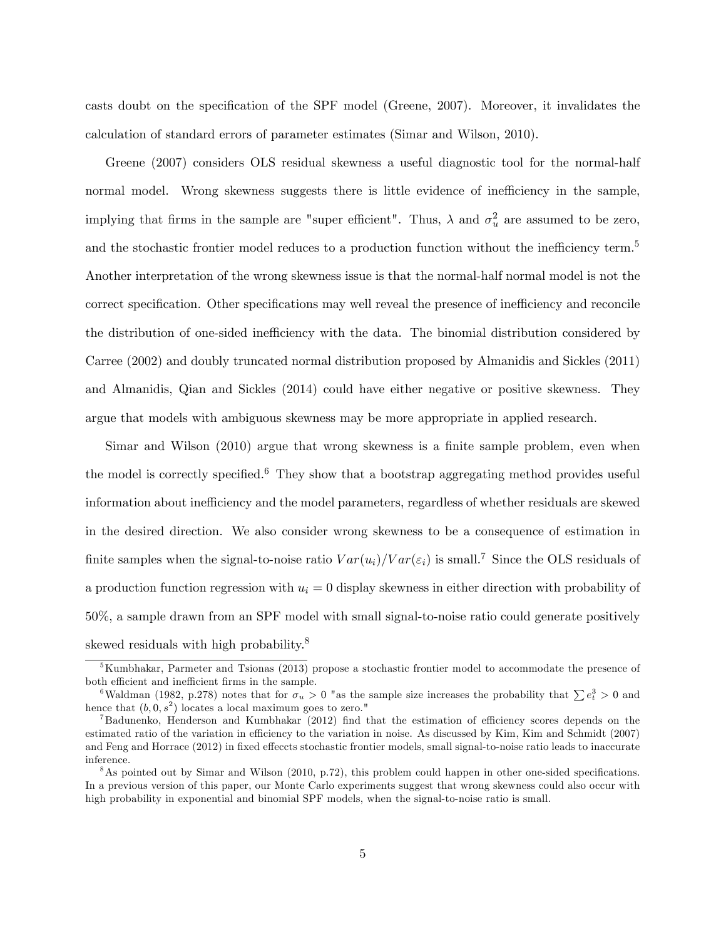casts doubt on the specification of the SPF model (Greene, 2007). Moreover, it invalidates the calculation of standard errors of parameter estimates (Simar and Wilson, 2010).

Greene (2007) considers OLS residual skewness a useful diagnostic tool for the normal-half normal model. Wrong skewness suggests there is little evidence of inefficiency in the sample, implying that firms in the sample are "super efficient". Thus,  $\lambda$  and  $\sigma_u^2$  are assumed to be zero, and the stochastic frontier model reduces to a production function without the inefficiency term.<sup>5</sup> Another interpretation of the wrong skewness issue is that the normal-half normal model is not the correct specification. Other specifications may well reveal the presence of inefficiency and reconcile the distribution of one-sided inefficiency with the data. The binomial distribution considered by Carree (2002) and doubly truncated normal distribution proposed by Almanidis and Sickles (2011) and Almanidis, Qian and Sickles (2014) could have either negative or positive skewness. They argue that models with ambiguous skewness may be more appropriate in applied research.

Simar and Wilson (2010) argue that wrong skewness is a finite sample problem, even when the model is correctly specified.<sup>6</sup> They show that a bootstrap aggregating method provides useful information about inefficiency and the model parameters, regardless of whether residuals are skewed in the desired direction. We also consider wrong skewness to be a consequence of estimation in finite samples when the signal-to-noise ratio  $Var(u_i)/Var(\varepsilon_i)$  is small.<sup>7</sup> Since the OLS residuals of a production function regression with  $u_i = 0$  display skewness in either direction with probability of 50%, a sample drawn from an SPF model with small signal-to-noise ratio could generate positively skewed residuals with high probability.<sup>8</sup>

 $5$ Kumbhakar, Parmeter and Tsionas (2013) propose a stochastic frontier model to accommodate the presence of both efficient and inefficient firms in the sample.

<sup>&</sup>lt;sup>6</sup>Waldman (1982, p.278) notes that for  $\sigma_u > 0$  "as the sample size increases the probability that  $\sum e_t^3 > 0$  and hence that  $(b, 0, s^2)$  locates a local maximum goes to zero."

 $<sup>7</sup>$ Badunenko, Henderson and Kumbhakar (2012) find that the estimation of efficiency scores depends on the</sup> estimated ratio of the variation in efficiency to the variation in noise. As discussed by Kim, Kim and Schmidt (2007) and Feng and Horrace (2012) in fixed effeccts stochastic frontier models, small signal-to-noise ratio leads to inaccurate inference.

<sup>&</sup>lt;sup>8</sup>As pointed out by Simar and Wilson (2010, p.72), this problem could happen in other one-sided specifications. In a previous version of this paper, our Monte Carlo experiments suggest that wrong skewness could also occur with high probability in exponential and binomial SPF models, when the signal-to-noise ratio is small.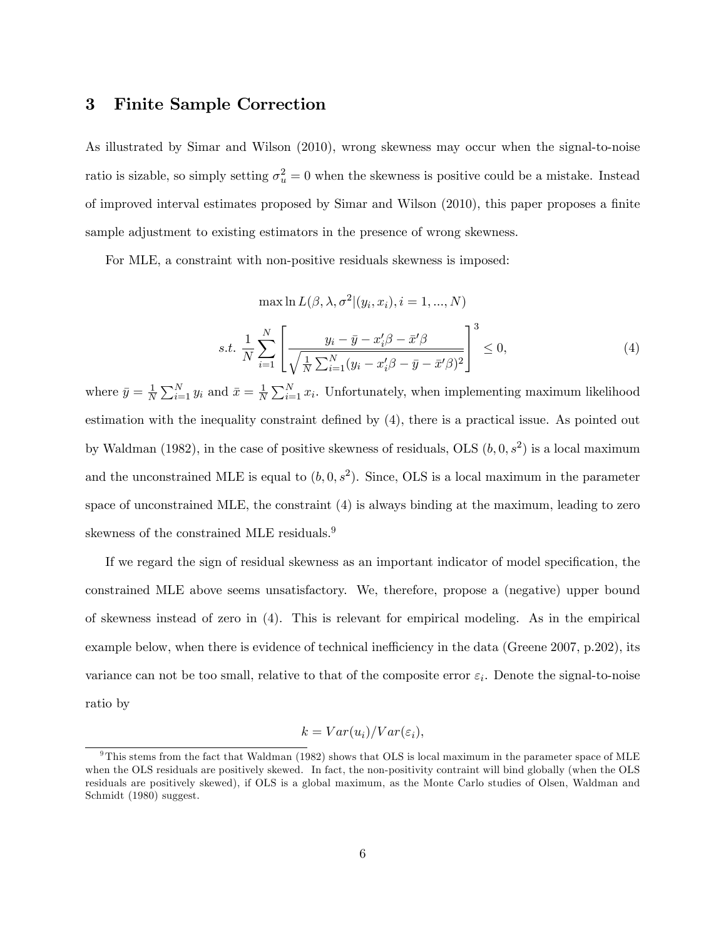#### 3 Finite Sample Correction

As illustrated by Simar and Wilson (2010), wrong skewness may occur when the signal-to-noise ratio is sizable, so simply setting  $\sigma_u^2 = 0$  when the skewness is positive could be a mistake. Instead of improved interval estimates proposed by Simar and Wilson (2010), this paper proposes a finite sample adjustment to existing estimators in the presence of wrong skewness.

For MLE, a constraint with non-positive residuals skewness is imposed:

$$
\max \ln L(\beta, \lambda, \sigma^2 | (y_i, x_i), i = 1, ..., N)
$$
  
s.t. 
$$
\frac{1}{N} \sum_{i=1}^N \left[ \frac{y_i - \bar{y} - x_i'\beta - \bar{x}'\beta}{\sqrt{\frac{1}{N} \sum_{i=1}^N (y_i - x_i'\beta - \bar{y} - \bar{x}'\beta)^2}} \right]^3 \le 0,
$$
 (4)

where  $\bar{y} = \frac{1}{N} \sum_{i=1}^{N} y_i$  and  $\bar{x} = \frac{1}{N} \sum_{i=1}^{N} x_i$ . Unfortunately, when implementing maximum likelihood estimation with the inequality constraint defined by  $(4)$ , there is a practical issue. As pointed out by Waldman (1982), in the case of positive skewness of residuals, OLS  $(b, 0, s^2)$  is a local maximum and the unconstrained MLE is equal to  $(b, 0, s^2)$ . Since, OLS is a local maximum in the parameter space of unconstrained MLE, the constraint (4) is always binding at the maximum, leading to zero skewness of the constrained MLE residuals.<sup>9</sup>

If we regard the sign of residual skewness as an important indicator of model specification, the constrained MLE above seems unsatisfactory. We, therefore, propose a (negative) upper bound of skewness instead of zero in (4). This is relevant for empirical modeling. As in the empirical example below, when there is evidence of technical inefficiency in the data (Greene 2007, p.202), its variance can not be too small, relative to that of the composite error  $\varepsilon_i$ . Denote the signal-to-noise ratio by

$$
k = Var(u_i)/Var(\varepsilon_i),
$$

<sup>&</sup>lt;sup>9</sup>This stems from the fact that Waldman (1982) shows that OLS is local maximum in the parameter space of MLE when the OLS residuals are positively skewed. In fact, the non-positivity contraint will bind globally (when the OLS residuals are positively skewed), if OLS is a global maximum, as the Monte Carlo studies of Olsen, Waldman and Schmidt (1980) suggest.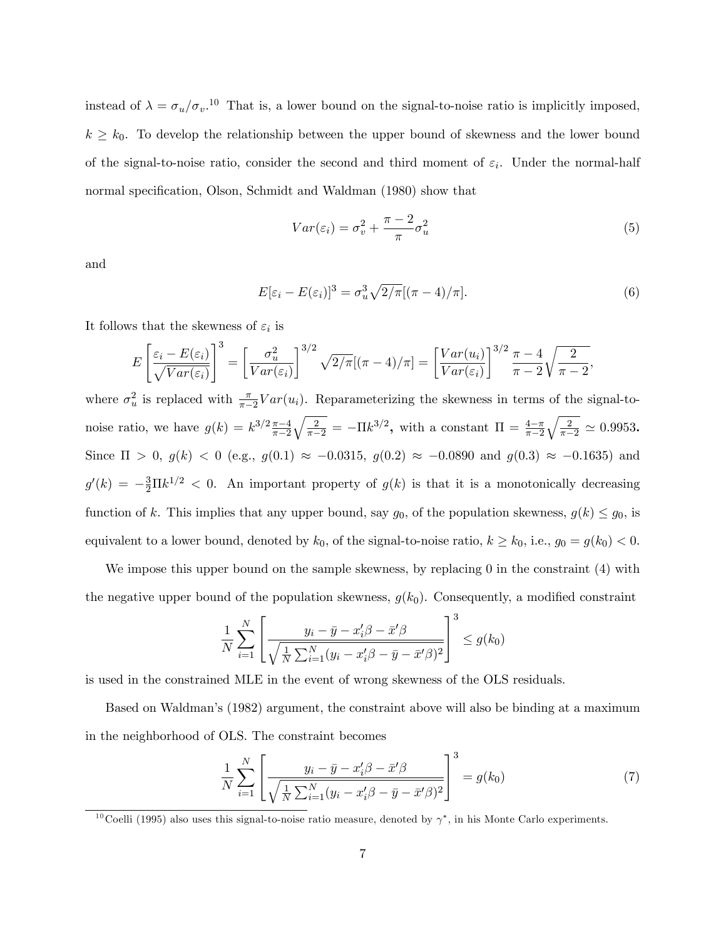instead of  $\lambda = \sigma_u/\sigma_v$ .<sup>10</sup> That is, a lower bound on the signal-to-noise ratio is implicitly imposed,  $k \geq k_0$ . To develop the relationship between the upper bound of skewness and the lower bound of the signal-to-noise ratio, consider the second and third moment of  $\varepsilon_i$ . Under the normal-half normal specification, Olson, Schmidt and Waldman (1980) show that

$$
Var(\varepsilon_i) = \sigma_v^2 + \frac{\pi - 2}{\pi} \sigma_u^2 \tag{5}
$$

and

$$
E[\varepsilon_i - E(\varepsilon_i)]^3 = \sigma_u^3 \sqrt{2/\pi} [(\pi - 4)/\pi]. \tag{6}
$$

It follows that the skewness of  $\varepsilon_i$  is

$$
E\left[\frac{\varepsilon_i - E(\varepsilon_i)}{\sqrt{Var(\varepsilon_i)}}\right]^3 = \left[\frac{\sigma_u^2}{Var(\varepsilon_i)}\right]^{3/2} \sqrt{2/\pi}[(\pi - 4)/\pi] = \left[\frac{Var(u_i)}{Var(\varepsilon_i)}\right]^{3/2} \frac{\pi - 4}{\pi - 2}\sqrt{\frac{2}{\pi - 2}},
$$

where  $\sigma_u^2$  is replaced with  $\frac{\pi}{\pi-2}Var(u_i)$ . Reparameterizing the skewness in terms of the signal-tonoise ratio, we have  $g(k) = k^{3/2} \frac{\pi - 4}{\pi - 2} \sqrt{\frac{2}{\pi - 2}} = -\Pi k^{3/2}$ , with a constant  $\Pi = \frac{4 - \pi}{\pi - 2} \sqrt{\frac{2}{\pi - 2}}$  $\frac{4-\pi}{\pi-2}\sqrt{\frac{2}{\pi-2}} \simeq 0.9953$ . Since  $\Pi > 0$ ,  $g(k) < 0$  (e.g.,  $g(0.1) \approx -0.0315$ ,  $g(0.2) \approx -0.0890$  and  $g(0.3) \approx -0.1635$ ) and  $g'(k) = -\frac{3}{2}\Pi k^{1/2} < 0$ . An important property of  $g(k)$  is that it is a monotonically decreasing function of k. This implies that any upper bound, say  $g_0$ , of the population skewness,  $g(k) \leq g_0$ , is equivalent to a lower bound, denoted by  $k_0$ , of the signal-to-noise ratio,  $k \ge k_0$ , i.e.,  $g_0 = g(k_0) < 0$ .

We impose this upper bound on the sample skewness, by replacing 0 in the constraint (4) with the negative upper bound of the population skewness,  $g(k_0)$ . Consequently, a modified constraint

$$
\frac{1}{N} \sum_{i=1}^{N} \left[ \frac{y_i - \bar{y} - x_i'\beta - \bar{x}'\beta}{\sqrt{\frac{1}{N} \sum_{i=1}^{N} (y_i - x_i'\beta - \bar{y} - \bar{x}'\beta)^2}} \right]^3 \le g(k_0)
$$

is used in the constrained MLE in the event of wrong skewness of the OLS residuals.

Based on Waldmanís (1982) argument, the constraint above will also be binding at a maximum in the neighborhood of OLS. The constraint becomes

$$
\frac{1}{N} \sum_{i=1}^{N} \left[ \frac{y_i - \bar{y} - x_i' \beta - \bar{x}' \beta}{\sqrt{\frac{1}{N} \sum_{i=1}^{N} (y_i - x_i' \beta - \bar{y} - \bar{x}' \beta)^2}} \right]^3 = g(k_0)
$$
\n(7)

<sup>&</sup>lt;sup>10</sup>Coelli (1995) also uses this signal-to-noise ratio measure, denoted by  $\gamma^*$ , in his Monte Carlo experiments.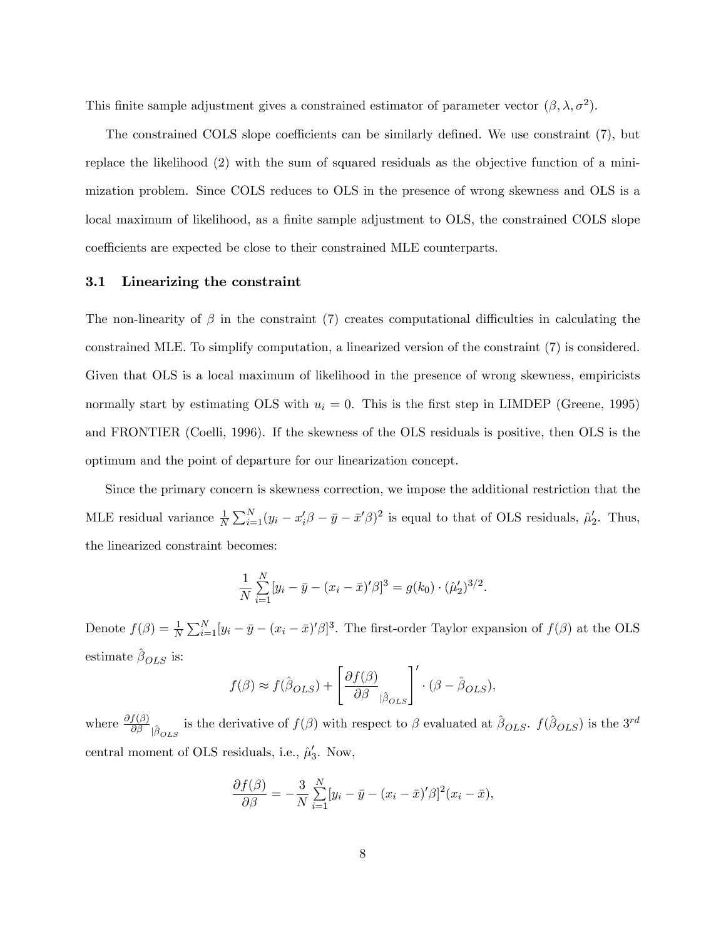This finite sample adjustment gives a constrained estimator of parameter vector  $(\beta, \lambda, \sigma^2)$ .

The constrained COLS slope coefficients can be similarly defined. We use constraint  $(7)$ , but replace the likelihood (2) with the sum of squared residuals as the objective function of a minimization problem. Since COLS reduces to OLS in the presence of wrong skewness and OLS is a local maximum of likelihood, as a finite sample adjustment to OLS, the constrained COLS slope coefficients are expected be close to their constrained MLE counterparts.

#### 3.1 Linearizing the constraint

The non-linearity of  $\beta$  in the constraint (7) creates computational difficulties in calculating the constrained MLE. To simplify computation, a linearized version of the constraint (7) is considered. Given that OLS is a local maximum of likelihood in the presence of wrong skewness, empiricists normally start by estimating OLS with  $u_i = 0$ . This is the first step in LIMDEP (Greene, 1995) and FRONTIER (Coelli, 1996). If the skewness of the OLS residuals is positive, then OLS is the optimum and the point of departure for our linearization concept.

Since the primary concern is skewness correction, we impose the additional restriction that the MLE residual variance  $\frac{1}{N} \sum_{i=1}^{N} (y_i - x_i' \beta - \bar{y} - \bar{x}' \beta)^2$  is equal to that of OLS residuals,  $\hat{\mu}'_2$ . Thus, the linearized constraint becomes:

$$
\frac{1}{N} \sum_{i=1}^{N} [y_i - \bar{y} - (x_i - \bar{x})'\beta]^3 = g(k_0) \cdot (\hat{\mu}'_2)^{3/2}.
$$

Denote  $f(\beta) = \frac{1}{N} \sum_{i=1}^{N} [y_i - \bar{y} - (x_i - \bar{x})'\beta]^3$ . The first-order Taylor expansion of  $f(\beta)$  at the OLS estimate  $\hat{\beta}_{OLS}$  is:

$$
f(\beta) \approx f(\hat{\beta}_{OLS}) + \left[\frac{\partial f(\beta)}{\partial \beta}_{|\hat{\beta}_{OLS}}\right]' \cdot (\beta - \hat{\beta}_{OLS}),
$$

where  $\frac{\partial f(\beta)}{\partial \beta}_{\beta}$  is the derivative of  $f(\beta)$  with respect to  $\beta$  evaluated at  $\hat{\beta}_{OLS}$ .  $f(\hat{\beta}_{OLS})$  is the 3<sup>rd</sup> central moment of OLS residuals, i.e.,  $\hat{\mu}'_3$ . Now,

$$
\frac{\partial f(\beta)}{\partial \beta} = -\frac{3}{N} \sum_{i=1}^{N} [y_i - \bar{y} - (x_i - \bar{x})'\beta]^2 (x_i - \bar{x}),
$$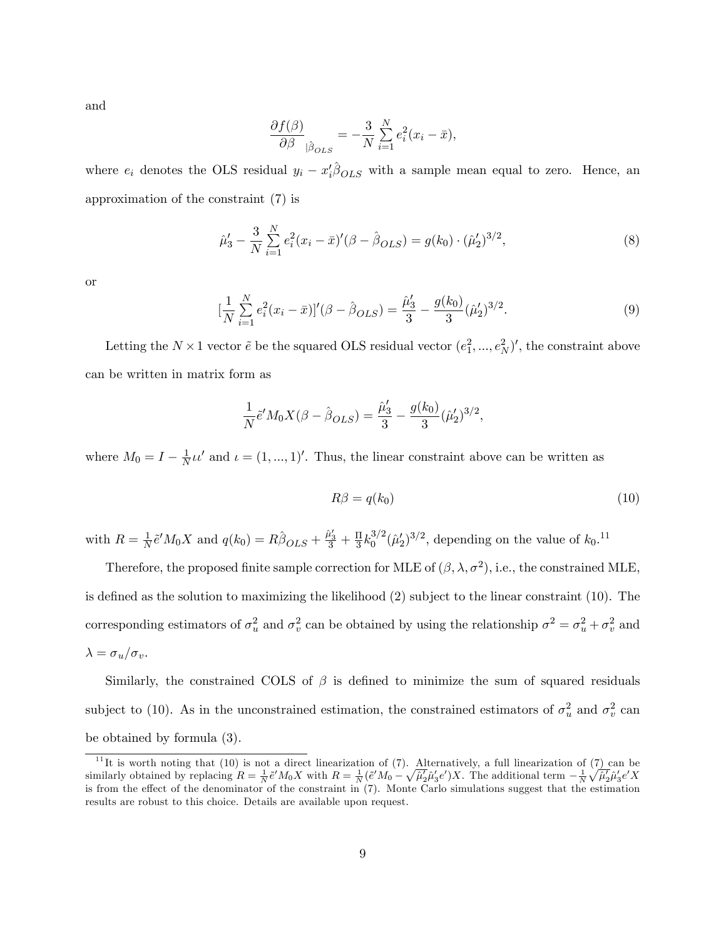and

$$
\frac{\partial f(\beta)}{\partial \beta}\Big|_{\hat{\beta}_{OLS}} = -\frac{3}{N} \sum_{i=1}^{N} e_i^2 (x_i - \bar{x}),
$$

where  $e_i$  denotes the OLS residual  $y_i - x_i' \hat{\beta}_{OLS}$  with a sample mean equal to zero. Hence, an approximation of the constraint (7) is

$$
\hat{\mu}'_3 - \frac{3}{N} \sum_{i=1}^N e_i^2 (x_i - \bar{x})' (\beta - \hat{\beta}_{OLS}) = g(k_0) \cdot (\hat{\mu}'_2)^{3/2},\tag{8}
$$

or

$$
\left[\frac{1}{N}\sum_{i=1}^{N}e_i^2(x_i-\bar{x})\right]'(\beta-\hat{\beta}_{OLS}) = \frac{\hat{\mu}_3'}{3} - \frac{g(k_0)}{3}(\hat{\mu}_2')^{3/2}.
$$
\n(9)

Letting the  $N \times 1$  vector  $\tilde{e}$  be the squared OLS residual vector  $(e_1^2, ..., e_N^2)'$ , the constraint above can be written in matrix form as

$$
\frac{1}{N}\tilde{e}'M_0X(\beta - \hat{\beta}_{OLS}) = \frac{\hat{\mu}'_3}{3} - \frac{g(k_0)}{3}(\hat{\mu}'_2)^{3/2},
$$

where  $M_0 = I - \frac{1}{N} \mu'$  and  $\iota = (1, ..., 1)'$ . Thus, the linear constraint above can be written as

$$
R\beta = q(k_0) \tag{10}
$$

with  $R = \frac{1}{N} \tilde{e}' M_0 X$  and  $q(k_0) = R \hat{\beta}_{OLS} + \frac{\tilde{\mu}_3'}{3} + \frac{\Pi}{3} k_0^{3/2} (\tilde{\mu}_2')^{3/2}$ , depending on the value of  $k_0$ .<sup>11</sup>

Therefore, the proposed finite sample correction for MLE of  $(\beta, \lambda, \sigma^2)$ , i.e., the constrained MLE, is defined as the solution to maximizing the likelihood  $(2)$  subject to the linear constraint  $(10)$ . The corresponding estimators of  $\sigma_u^2$  and  $\sigma_v^2$  can be obtained by using the relationship  $\sigma_z^2 = \sigma_u^2 + \sigma_v^2$  and  $\lambda = \sigma_u/\sigma_v.$ 

Similarly, the constrained COLS of  $\beta$  is defined to minimize the sum of squared residuals subject to (10). As in the unconstrained estimation, the constrained estimators of  $\sigma_u^2$  and  $\sigma_v^2$  can be obtained by formula (3).

<sup>&</sup>lt;sup>11</sup>It is worth noting that (10) is not a direct linearization of (7). Alternatively, a full linearization of (7) can be similarly obtained by replacing  $R = \frac{1}{N} \tilde{e}' M_0 X$  with  $R = \frac{1}{N} (\tilde{e}' M_0 - \sqrt{\tilde{\mu}_2} \tilde{\mu}'_3 e') X$ . The additional term  $-\frac{1}{N} \sqrt{\tilde{\mu}_2} \tilde{\mu}'_3 e' X$ is from the effect of the denominator of the constraint in (7). Monte Carlo simulations suggest that the estimation results are robust to this choice. Details are available upon request.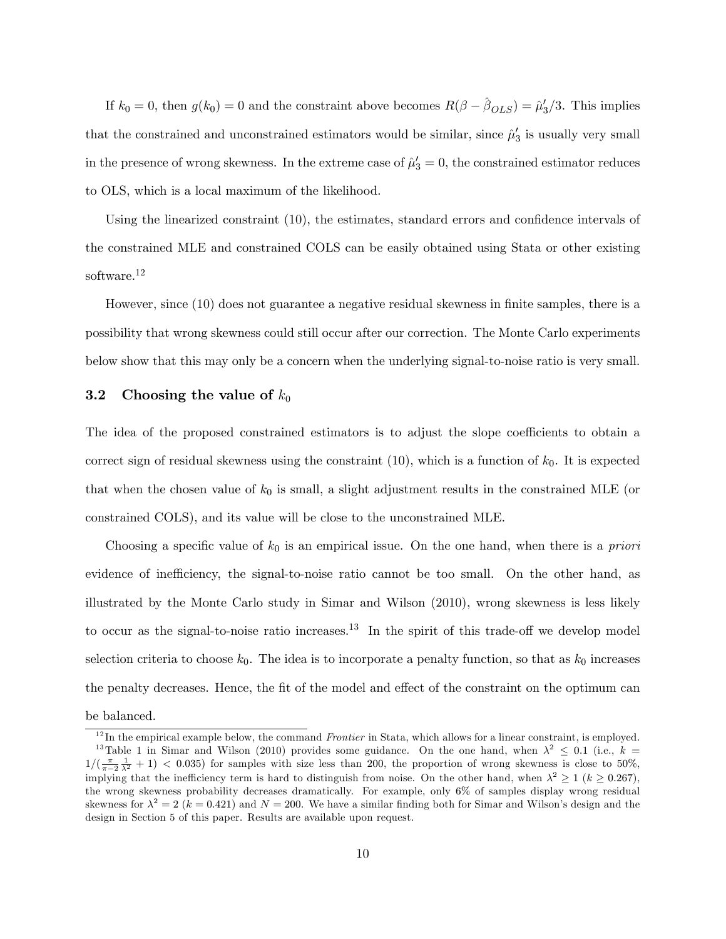If  $k_0 = 0$ , then  $g(k_0) = 0$  and the constraint above becomes  $R(\beta - \hat{\beta}_{OLS}) = \hat{\mu}'_3/3$ . This implies that the constrained and unconstrained estimators would be similar, since  $\hat{\mu}'_3$  is usually very small in the presence of wrong skewness. In the extreme case of  $\hat{\mu}'_3 = 0$ , the constrained estimator reduces to OLS, which is a local maximum of the likelihood.

Using the linearized constraint  $(10)$ , the estimates, standard errors and confidence intervals of the constrained MLE and constrained COLS can be easily obtained using Stata or other existing software.<sup>12</sup>

However, since (10) does not guarantee a negative residual skewness in finite samples, there is a possibility that wrong skewness could still occur after our correction. The Monte Carlo experiments below show that this may only be a concern when the underlying signal-to-noise ratio is very small.

#### 3.2 Choosing the value of  $k_0$

The idea of the proposed constrained estimators is to adjust the slope coefficients to obtain a correct sign of residual skewness using the constraint  $(10)$ , which is a function of  $k_0$ . It is expected that when the chosen value of  $k_0$  is small, a slight adjustment results in the constrained MLE (or constrained COLS), and its value will be close to the unconstrained MLE.

Choosing a specific value of  $k_0$  is an empirical issue. On the one hand, when there is a *priori* evidence of inefficiency, the signal-to-noise ratio cannot be too small. On the other hand, as illustrated by the Monte Carlo study in Simar and Wilson (2010), wrong skewness is less likely to occur as the signal-to-noise ratio increases.<sup>13</sup> In the spirit of this trade-off we develop model selection criteria to choose  $k_0$ . The idea is to incorporate a penalty function, so that as  $k_0$  increases the penalty decreases. Hence, the fit of the model and effect of the constraint on the optimum can be balanced.

 $12$  In the empirical example below, the command *Frontier* in Stata, which allows for a linear constraint, is employed. <sup>13</sup>Table 1 in Simar and Wilson (2010) provides some guidance. On the one hand, when  $\lambda^2 \leq 0.1$  (i.e.,  $k =$  $1/(\frac{\pi}{\pi-2}\frac{1}{\lambda^2}+1)$  < 0.035) for samples with size less than 200, the proportion of wrong skewness is close to 50%, implying that the inefficiency term is hard to distinguish from noise. On the other hand, when  $\lambda^2 \ge 1$  ( $k \ge 0.267$ ), the wrong skewness probability decreases dramatically. For example, only 6% of samples display wrong residual skewness for  $\lambda^2 = 2$  (k = 0.421) and N = 200. We have a similar finding both for Simar and Wilson's design and the design in Section 5 of this paper. Results are available upon request.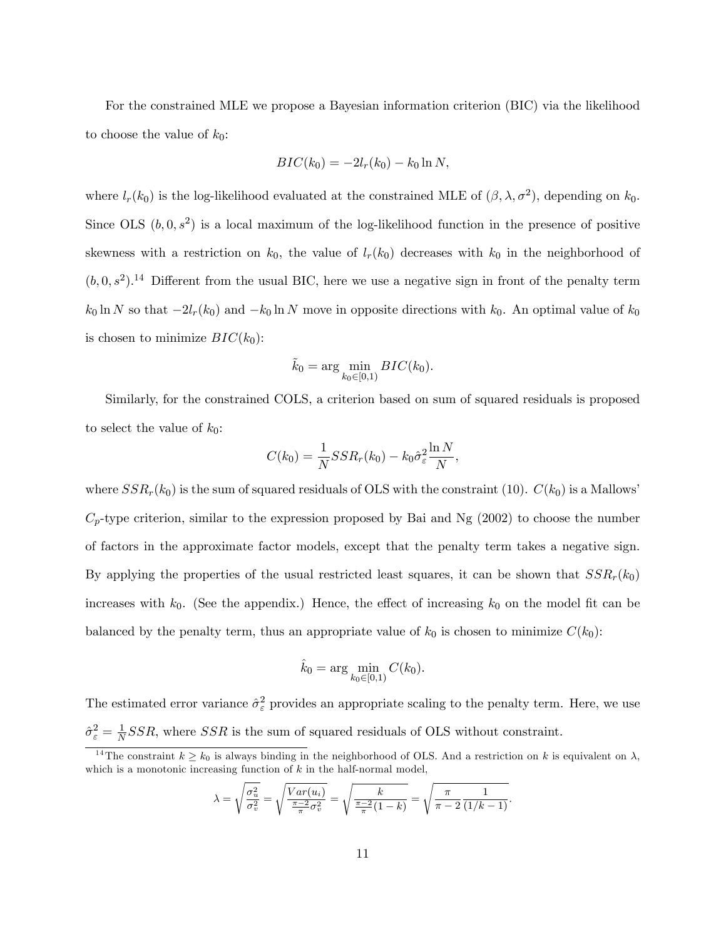For the constrained MLE we propose a Bayesian information criterion (BIC) via the likelihood to choose the value of  $k_0$ :

$$
BIC(k_0) = -2l_r(k_0) - k_0 \ln N,
$$

where  $l_r(k_0)$  is the log-likelihood evaluated at the constrained MLE of  $(\beta, \lambda, \sigma^2)$ , depending on  $k_0$ . Since OLS  $(b, 0, s^2)$  is a local maximum of the log-likelihood function in the presence of positive skewness with a restriction on  $k_0$ , the value of  $l_r(k_0)$  decreases with  $k_0$  in the neighborhood of  $(b, 0, s^2)$ .<sup>14</sup> Different from the usual BIC, here we use a negative sign in front of the penalty term  $k_0 \ln N$  so that  $-2l_r(k_0)$  and  $-k_0 \ln N$  move in opposite directions with  $k_0$ . An optimal value of  $k_0$ is chosen to minimize  $BIC(k_0)$ :

$$
\tilde{k}_0 = \arg\min_{k_0 \in [0,1)} BIC(k_0).
$$

Similarly, for the constrained COLS, a criterion based on sum of squared residuals is proposed to select the value of  $k_0$ :

$$
C(k_0) = \frac{1}{N}SSR_r(k_0) - k_0\hat{\sigma}_{\varepsilon}^2 \frac{\ln N}{N},
$$

where  $SSR_r(k_0)$  is the sum of squared residuals of OLS with the constraint (10).  $C(k_0)$  is a Mallows<sup>1</sup>  $C_p$ -type criterion, similar to the expression proposed by Bai and Ng (2002) to choose the number of factors in the approximate factor models, except that the penalty term takes a negative sign. By applying the properties of the usual restricted least squares, it can be shown that  $SSR_r(k_0)$ increases with  $k_0$ . (See the appendix.) Hence, the effect of increasing  $k_0$  on the model fit can be balanced by the penalty term, thus an appropriate value of  $k_0$  is chosen to minimize  $C(k_0)$ :

$$
\hat{k}_0 = \arg\min_{k_0 \in [0,1)} C(k_0).
$$

The estimated error variance  $\hat{\sigma}_{\varepsilon}^2$  provides an appropriate scaling to the penalty term. Here, we use  $\hat{\sigma}^2_{\varepsilon} = \frac{1}{N}$  $\frac{1}{N}SSR$ , where  $SSR$  is the sum of squared residuals of OLS without constraint.

$$
\lambda = \sqrt{\frac{\sigma_u^2}{\sigma_v^2}} = \sqrt{\frac{Var(u_i)}{\frac{\pi - 2}{\pi}\sigma_v^2}} = \sqrt{\frac{k}{\frac{\pi - 2}{\pi}(1 - k)}} = \sqrt{\frac{\pi}{\pi - 2}\frac{1}{(1/k - 1)}}.
$$

<sup>&</sup>lt;sup>14</sup>The constraint  $k \geq k_0$  is always binding in the neighborhood of OLS. And a restriction on k is equivalent on  $\lambda$ , which is a monotonic increasing function of  $k$  in the half-normal model,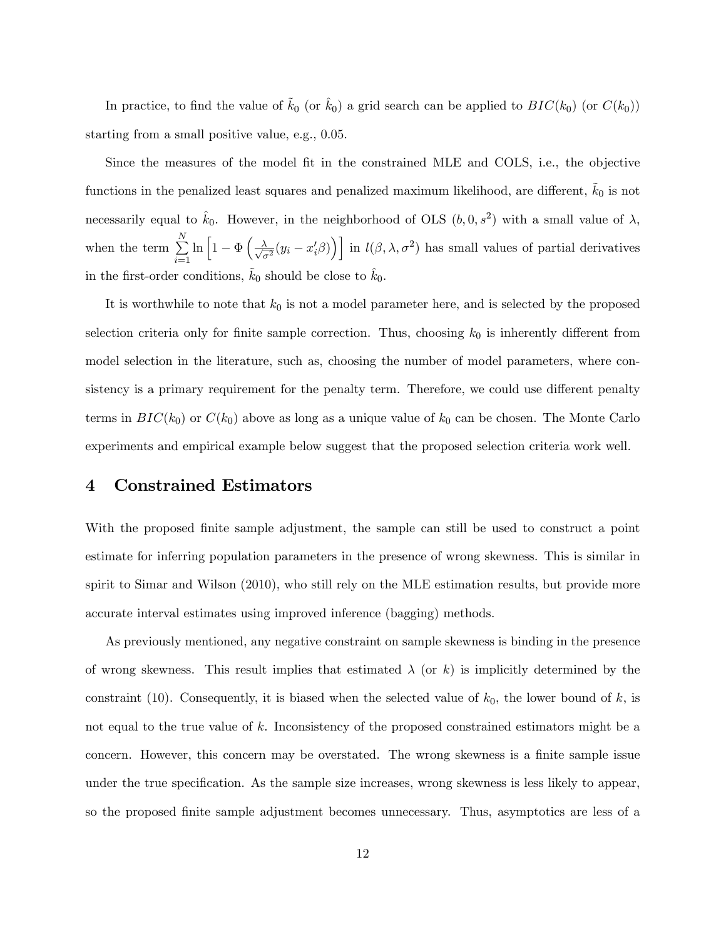In practice, to find the value of  $k_0$  (or  $\hat{k}_0$ ) a grid search can be applied to  $BIC(k_0)$  (or  $C(k_0)$ ) starting from a small positive value, e.g., 0.05.

Since the measures of the model Öt in the constrained MLE and COLS, i.e., the objective functions in the penalized least squares and penalized maximum likelihood, are different,  $k_0$  is not necessarily equal to  $\hat{k}_0$ . However, in the neighborhood of OLS  $(b, 0, s^2)$  with a small value of  $\lambda$ , when the term  $\sum_{i=1}^{N} \ln \left[1 - \Phi \left( \frac{\lambda}{\sqrt{\sigma^2}} (y_i - x_i^{\prime} \beta) \right) \right]$  in  $l(\beta, \lambda, \sigma^2)$  has small values of partial derivatives in the first-order conditions,  $k_0$  should be close to  $k_0$ .

It is worthwhile to note that  $k_0$  is not a model parameter here, and is selected by the proposed selection criteria only for finite sample correction. Thus, choosing  $k_0$  is inherently different from model selection in the literature, such as, choosing the number of model parameters, where consistency is a primary requirement for the penalty term. Therefore, we could use different penalty terms in  $BIC(k_0)$  or  $C(k_0)$  above as long as a unique value of  $k_0$  can be chosen. The Monte Carlo experiments and empirical example below suggest that the proposed selection criteria work well.

#### 4 Constrained Estimators

With the proposed finite sample adjustment, the sample can still be used to construct a point estimate for inferring population parameters in the presence of wrong skewness. This is similar in spirit to Simar and Wilson (2010), who still rely on the MLE estimation results, but provide more accurate interval estimates using improved inference (bagging) methods.

As previously mentioned, any negative constraint on sample skewness is binding in the presence of wrong skewness. This result implies that estimated  $\lambda$  (or k) is implicitly determined by the constraint (10). Consequently, it is biased when the selected value of  $k_0$ , the lower bound of k, is not equal to the true value of k. Inconsistency of the proposed constrained estimators might be a concern. However, this concern may be overstated. The wrong skewness is a finite sample issue under the true specification. As the sample size increases, wrong skewness is less likely to appear, so the proposed finite sample adjustment becomes unnecessary. Thus, asymptotics are less of a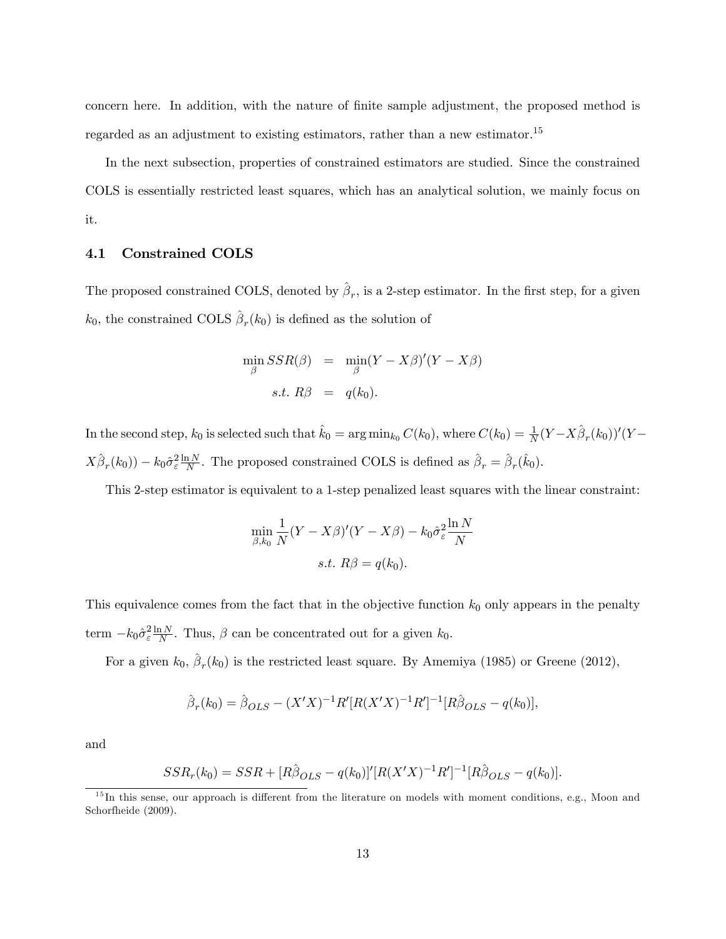concern here. In addition, with the nature of finite sample adjustment, the proposed method is regarded as an adjustment to existing estimators, rather than a new estimator.<sup>15</sup>

In the next subsection, properties of constrained estimators are studied. Since the constrained COLS is essentially restricted least squares, which has an analytical solution, we mainly focus on it.

#### 4.1 Constrained COLS

The proposed constrained COLS, denoted by  $\hat{\beta}_r$ , is a 2-step estimator. In the first step, for a given  $k_0$ , the constrained COLS  $\hat{\beta}_r(k_0)$  is defined as the solution of

$$
\min_{\beta} SSR(\beta) = \min_{\beta} (Y - X\beta)'(Y - X\beta)
$$
  
s.t.  $R\beta = q(k_0)$ .

In the second step,  $k_0$  is selected such that  $\hat{k}_0 = \arg \min_{k_0} C(k_0)$ , where  $C(k_0) = \frac{1}{N}(Y - X\hat{\beta}_r(k_0))'(Y - X\hat{\beta}_r(k_0))^T$  $X\hat{\beta}_r(k_0) - k_0 \hat{\sigma}_{\varepsilon}^2 \frac{\ln N}{N}$ . The proposed constrained COLS is defined as  $\hat{\beta}_r = \hat{\beta}_r(\hat{k}_0)$ .

This 2-step estimator is equivalent to a 1-step penalized least squares with the linear constraint:

$$
\min_{\beta,k_0} \frac{1}{N} (Y - X\beta)'(Y - X\beta) - k_0 \hat{\sigma}_\varepsilon^2 \frac{\ln N}{N}
$$
  
s.t.  $R\beta = q(k_0)$ .

This equivalence comes from the fact that in the objective function  $k_0$  only appears in the penalty term  $-k_0 \hat{\sigma}_{\varepsilon}^2 \frac{\ln N}{N}$ . Thus,  $\beta$  can be concentrated out for a given  $k_0$ .

For a given  $k_0$ ,  $\hat{\beta}_r(k_0)$  is the restricted least square. By Amemiya (1985) or Greene (2012),

$$
\hat{\beta}_r(k_0) = \hat{\beta}_{OLS} - (X'X)^{-1}R'[R(X'X)^{-1}R']^{-1}[R\hat{\beta}_{OLS} - q(k_0)],
$$

and

$$
SSR_r(k_0) = SSR + [R\hat{\beta}_{OLS} - q(k_0)]'[R(X'X)^{-1}R']^{-1}[R\hat{\beta}_{OLS} - q(k_0)].
$$

 $15$ In this sense, our approach is different from the literature on models with moment conditions, e.g., Moon and Schorfheide (2009).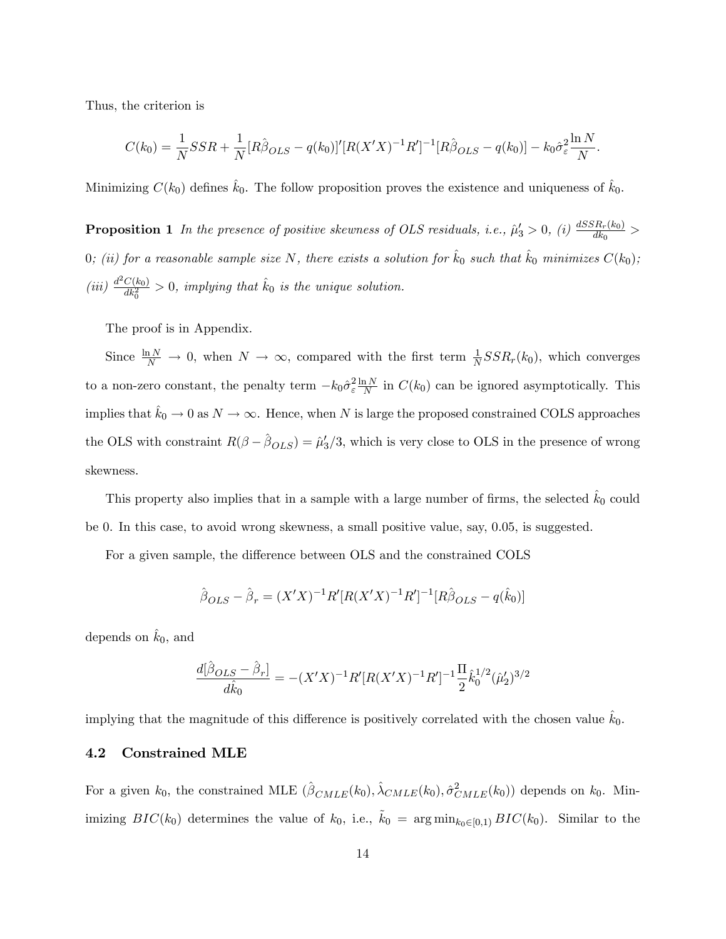Thus, the criterion is

$$
C(k_0) = \frac{1}{N}SSR + \frac{1}{N}[R\hat{\beta}_{OLS} - q(k_0)]'[R(X'X)^{-1}R']^{-1}[R\hat{\beta}_{OLS} - q(k_0)] - k_0\hat{\sigma}_{\varepsilon}^2\frac{\ln N}{N}.
$$

Minimizing  $C(k_0)$  defines  $\hat{k}_0$ . The follow proposition proves the existence and uniqueness of  $\hat{k}_0$ .

**Proposition 1** In the presence of positive skewness of OLS residuals, i.e.,  $\hat{\mu}'_3 > 0$ , (i)  $\frac{dSSR_r(k_0)}{dk_0} >$ 0; (ii) for a reasonable sample size N, there exists a solution for  $\hat{k}_0$  such that  $\hat{k}_0$  minimizes  $C(k_0)$ ; (iii)  $\frac{d^2C(k_0)}{dk_0^2} > 0$ , implying that  $\hat{k}_0$  is the unique solution.

The proof is in Appendix.

Since  $\frac{\ln N}{N} \to 0$ , when  $N \to \infty$ , compared with the first term  $\frac{1}{N}SSR_r(k_0)$ , which converges to a non-zero constant, the penalty term  $-k_0 \hat{\sigma}_{\varepsilon}^2 \frac{\ln N}{N}$  in  $C(k_0)$  can be ignored asymptotically. This implies that  $\hat{k}_0 \to 0$  as  $N \to \infty$ . Hence, when N is large the proposed constrained COLS approaches the OLS with constraint  $R(\beta - \hat{\beta}_{OLS}) = \hat{\mu}'_3/3$ , which is very close to OLS in the presence of wrong skewness.

This property also implies that in a sample with a large number of firms, the selected  $k_0$  could be 0. In this case, to avoid wrong skewness, a small positive value, say, 0:05, is suggested.

For a given sample, the difference between OLS and the constrained COLS

$$
\hat{\beta}_{OLS} - \hat{\beta}_r = (X'X)^{-1}R'[R(X'X)^{-1}R']^{-1}[R\hat{\beta}_{OLS} - q(\hat{k}_0)]
$$

depends on  $\hat{k}_0$ , and

$$
\frac{d[\hat{\beta}_{OLS}-\hat{\beta}_r]}{d\hat{k}_0}=-(X'X)^{-1}R'[R(X'X)^{-1}R']^{-1}\frac{\Pi}{2}\hat{k}_0^{1/2}(\hat{\mu}_2')^{3/2}
$$

implying that the magnitude of this difference is positively correlated with the chosen value  $\hat{k}_0$ .

#### 4.2 Constrained MLE

For a given  $k_0$ , the constrained MLE  $(\hat{\beta}_{CMLE}(k_0), \hat{\lambda}_{CMLE}(k_0), \hat{\sigma}_{CMLE}^2(k_0))$  depends on  $k_0$ . Minimizing  $BIC(k_0)$  determines the value of  $k_0$ , i.e.,  $\tilde{k}_0 = \arg \min_{k_0 \in [0,1)} BIC(k_0)$ . Similar to the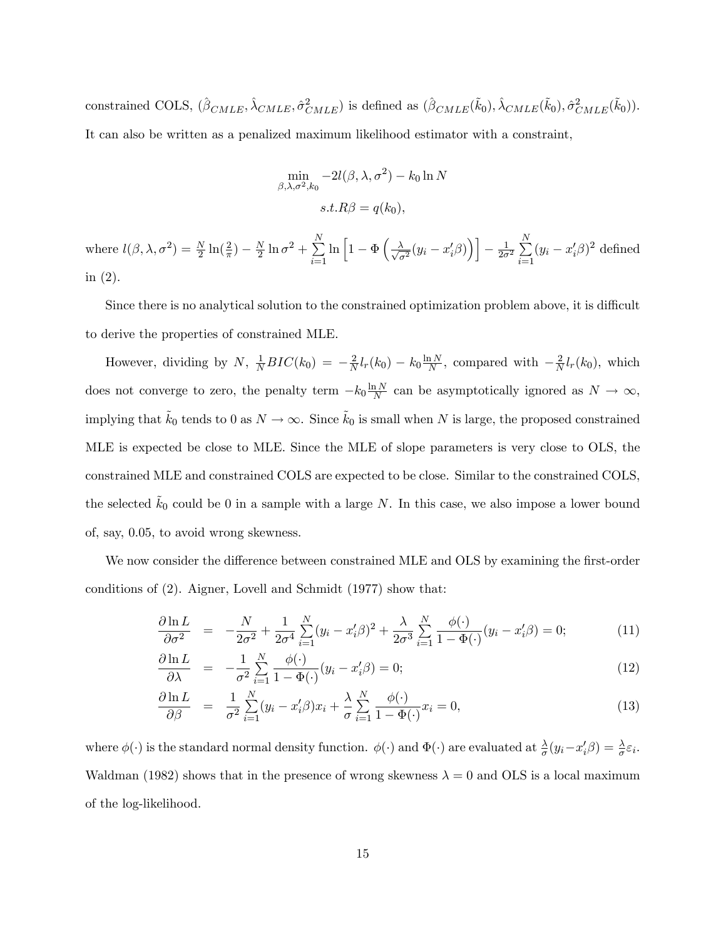constrained COLS,  $(\hat{\beta}_{CMLE}, \hat{\lambda}_{CMLE}, \hat{\sigma}_{CMLE}^2)$  is defined as  $(\hat{\beta}_{CMLE}(\tilde{k}_0), \hat{\lambda}_{CMLE}(\tilde{k}_0), \hat{\sigma}_{CMLE}^2(\tilde{k}_0)).$ It can also be written as a penalized maximum likelihood estimator with a constraint,

$$
\min_{\beta,\lambda,\sigma^2,k_0} -2l(\beta,\lambda,\sigma^2) - k_0 \ln N
$$

$$
s.t. R\beta = q(k_0),
$$

where  $l(\beta, \lambda, \sigma^2) = \frac{N}{2} \ln(\frac{2}{\pi}) - \frac{N}{2} \ln \sigma^2 + \sum_{i=1}^N \ln \left[1 - \Phi \left(\frac{\lambda}{\sqrt{\sigma^2}}(y_i - x_i'\beta)\right)\right] - \frac{1}{2\sigma^2} \sum_{i=1}^N (y_i - x_i'\beta)^2$  defined in (2).

Since there is no analytical solution to the constrained optimization problem above, it is difficult to derive the properties of constrained MLE.

However, dividing by N,  $\frac{1}{N}BIC(k_0) = -\frac{2}{N}l_r(k_0) - k_0 \frac{\ln N}{N}$ , compared with  $-\frac{2}{N}l_r(k_0)$ , which does not converge to zero, the penalty term  $-k_0 \frac{\ln N}{N}$  can be asymptotically ignored as  $N \to \infty$ , implying that  $k_0$  tends to 0 as  $N \to \infty$ . Since  $k_0$  is small when N is large, the proposed constrained MLE is expected be close to MLE. Since the MLE of slope parameters is very close to OLS, the constrained MLE and constrained COLS are expected to be close. Similar to the constrained COLS, the selected  $k_0$  could be 0 in a sample with a large N. In this case, we also impose a lower bound of, say, 0:05, to avoid wrong skewness.

We now consider the difference between constrained MLE and OLS by examining the first-order conditions of (2). Aigner, Lovell and Schmidt (1977) show that:

$$
\frac{\partial \ln L}{\partial \sigma^2} = -\frac{N}{2\sigma^2} + \frac{1}{2\sigma^4} \sum_{i=1}^N (y_i - x_i' \beta)^2 + \frac{\lambda}{2\sigma^3} \sum_{i=1}^N \frac{\phi(\cdot)}{1 - \Phi(\cdot)} (y_i - x_i' \beta) = 0; \tag{11}
$$

$$
\frac{\partial \ln L}{\partial \lambda} = -\frac{1}{\sigma^2} \sum_{i=1}^{N} \frac{\phi(\cdot)}{1 - \Phi(\cdot)} (y_i - x_i' \beta) = 0; \tag{12}
$$

$$
\frac{\partial \ln L}{\partial \beta} = \frac{1}{\sigma^2} \sum_{i=1}^N (y_i - x_i' \beta) x_i + \frac{\lambda}{\sigma} \sum_{i=1}^N \frac{\phi(\cdot)}{1 - \Phi(\cdot)} x_i = 0, \tag{13}
$$

where  $\phi(\cdot)$  is the standard normal density function.  $\phi(\cdot)$  and  $\Phi(\cdot)$  are evaluated at  $\frac{\lambda}{\sigma}(y_i - x_i'\beta) = \frac{\lambda}{\sigma} \varepsilon_i$ . Waldman (1982) shows that in the presence of wrong skewness  $\lambda = 0$  and OLS is a local maximum of the log-likelihood.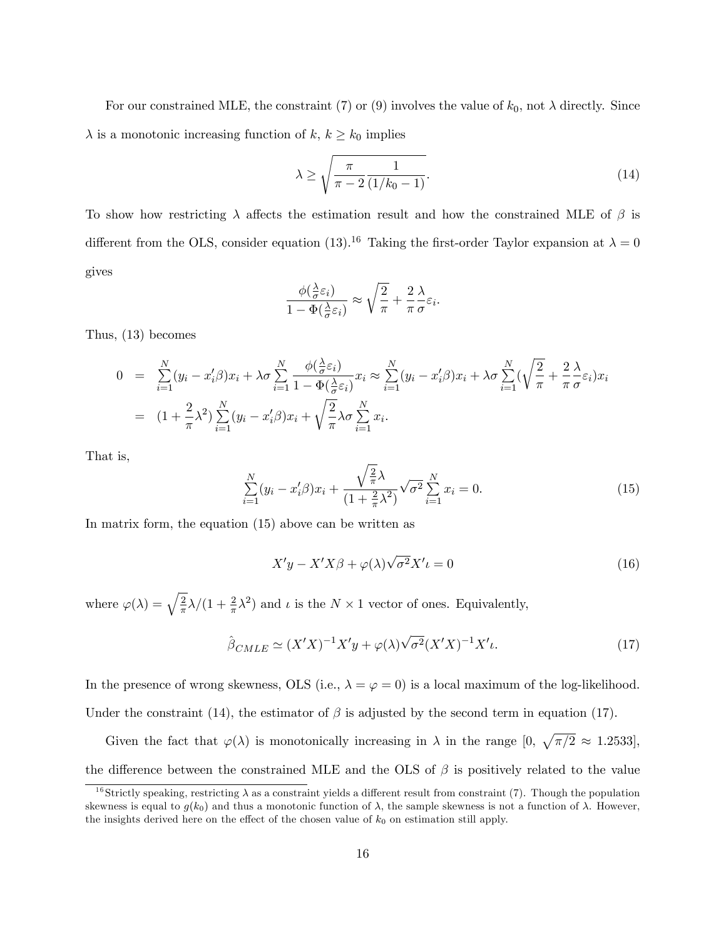For our constrained MLE, the constraint (7) or (9) involves the value of  $k_0$ , not  $\lambda$  directly. Since  $\lambda$  is a monotonic increasing function of  $k, k \geq k_0$  implies

$$
\lambda \ge \sqrt{\frac{\pi}{\pi - 2} \frac{1}{(1/k_0 - 1)}}.\tag{14}
$$

To show how restricting  $\lambda$  affects the estimation result and how the constrained MLE of  $\beta$  is different from the OLS, consider equation (13).<sup>16</sup> Taking the first-order Taylor expansion at  $\lambda = 0$ gives

$$
\frac{\phi(\frac{\lambda}{\sigma}\varepsilon_i)}{1-\Phi(\frac{\lambda}{\sigma}\varepsilon_i)} \approx \sqrt{\frac{2}{\pi}} + \frac{2}{\pi}\frac{\lambda}{\sigma}\varepsilon_i.
$$

Thus, (13) becomes

$$
0 = \sum_{i=1}^{N} (y_i - x_i'\beta)x_i + \lambda \sigma \sum_{i=1}^{N} \frac{\phi(\frac{\lambda}{\sigma} \varepsilon_i)}{1 - \Phi(\frac{\lambda}{\sigma} \varepsilon_i)} x_i \approx \sum_{i=1}^{N} (y_i - x_i'\beta)x_i + \lambda \sigma \sum_{i=1}^{N} (\sqrt{\frac{2}{\pi}} + \frac{2}{\pi} \frac{\lambda}{\sigma} \varepsilon_i)x_i
$$
  
= 
$$
(1 + \frac{2}{\pi}\lambda^2) \sum_{i=1}^{N} (y_i - x_i'\beta)x_i + \sqrt{\frac{2}{\pi}} \lambda \sigma \sum_{i=1}^{N} x_i.
$$

That is,

$$
\sum_{i=1}^{N} (y_i - x_i' \beta) x_i + \frac{\sqrt{\frac{2}{\pi}} \lambda}{(1 + \frac{2}{\pi} \lambda^2)} \sqrt{\sigma^2} \sum_{i=1}^{N} x_i = 0.
$$
\n(15)

In matrix form, the equation (15) above can be written as

$$
X'y - X'X\beta + \varphi(\lambda)\sqrt{\sigma^2}X'\iota = 0
$$
\n(16)

where  $\varphi(\lambda) = \sqrt{\frac{2}{\pi}}\lambda/(1 + \frac{2}{\pi}\lambda^2)$  and  $\iota$  is the  $N \times 1$  vector of ones. Equivalently,

$$
\hat{\beta}_{CMLE} \simeq (X'X)^{-1}X'y + \varphi(\lambda)\sqrt{\sigma^2}(X'X)^{-1}X'\iota. \tag{17}
$$

In the presence of wrong skewness, OLS (i.e.,  $\lambda = \varphi = 0$ ) is a local maximum of the log-likelihood. Under the constraint (14), the estimator of  $\beta$  is adjusted by the second term in equation (17).

Given the fact that  $\varphi(\lambda)$  is monotonically increasing in  $\lambda$  in the range  $[0, \sqrt{\pi/2} \approx 1.2533]$ , the difference between the constrained MLE and the OLS of  $\beta$  is positively related to the value

<sup>&</sup>lt;sup>16</sup>Strictly speaking, restricting  $\lambda$  as a constraint yields a different result from constraint (7). Though the population skewness is equal to  $g(k_0)$  and thus a monotonic function of  $\lambda$ , the sample skewness is not a function of  $\lambda$ . However, the insights derived here on the effect of the chosen value of  $k_0$  on estimation still apply.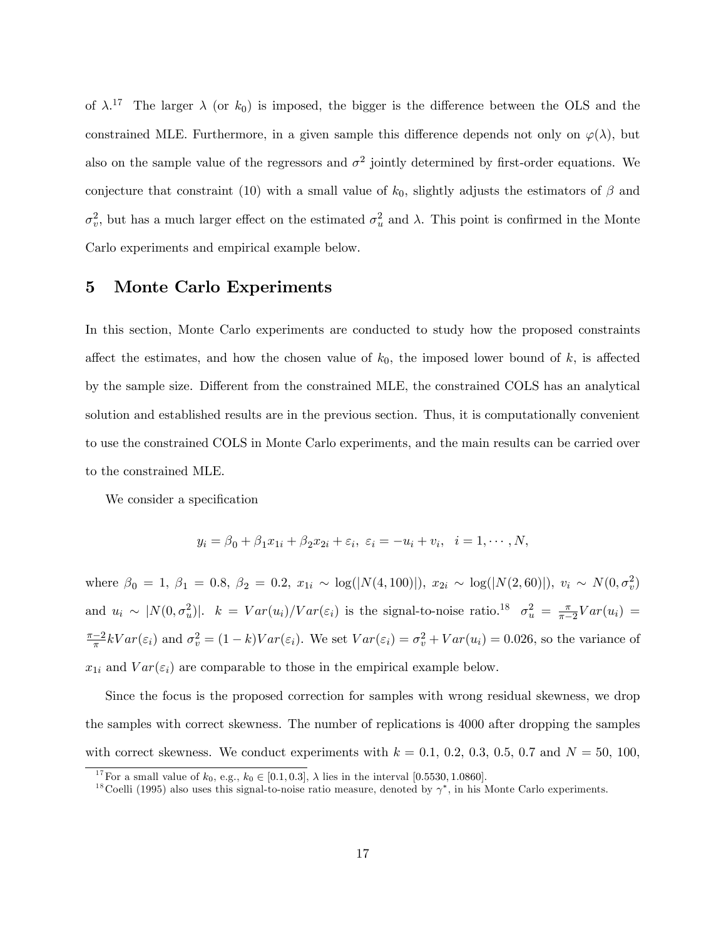of  $\lambda$ <sup>17</sup> The larger  $\lambda$  (or  $k_0$ ) is imposed, the bigger is the difference between the OLS and the constrained MLE. Furthermore, in a given sample this difference depends not only on  $\varphi(\lambda)$ , but also on the sample value of the regressors and  $\sigma^2$  jointly determined by first-order equations. We conjecture that constraint (10) with a small value of  $k_0$ , slightly adjusts the estimators of  $\beta$  and  $\sigma_v^2$ , but has a much larger effect on the estimated  $\sigma_u^2$  and  $\lambda$ . This point is confirmed in the Monte Carlo experiments and empirical example below.

#### 5 Monte Carlo Experiments

In this section, Monte Carlo experiments are conducted to study how the proposed constraints affect the estimates, and how the chosen value of  $k_0$ , the imposed lower bound of k, is affected by the sample size. Different from the constrained MLE, the constrained COLS has an analytical solution and established results are in the previous section. Thus, it is computationally convenient to use the constrained COLS in Monte Carlo experiments, and the main results can be carried over to the constrained MLE.

We consider a specification

$$
y_i = \beta_0 + \beta_1 x_{1i} + \beta_2 x_{2i} + \varepsilon_i, \ \varepsilon_i = -u_i + v_i, \ \ i = 1, \cdots, N,
$$

where  $\beta_0 = 1, \beta_1 = 0.8, \beta_2 = 0.2, x_{1i} \sim \log(|N(4, 100)|), x_{2i} \sim \log(|N(2, 60)|), v_i \sim N(0, \sigma_v^2)$ and  $u_i \sim |N(0, \sigma_u^2)|$ .  $k = Var(u_i)/Var(\varepsilon_i)$  is the signal-to-noise ratio.<sup>18</sup>  $\sigma_u^2 = \frac{\pi}{\pi - 1}$  $\frac{\pi}{\pi-2}Var(u_i) =$  $\frac{\pi-2}{\pi}kVar(\varepsilon_i)$  and  $\sigma_v^2 = (1-k)Var(\varepsilon_i)$ . We set  $Var(\varepsilon_i) = \sigma_v^2 + Var(u_i) = 0.026$ , so the variance of  $x_{1i}$  and  $Var(\varepsilon_i)$  are comparable to those in the empirical example below.

Since the focus is the proposed correction for samples with wrong residual skewness, we drop the samples with correct skewness. The number of replications is 4000 after dropping the samples with correct skewness. We conduct experiments with  $k = 0.1, 0.2, 0.3, 0.5, 0.7$  and  $N = 50, 100$ ,

<sup>&</sup>lt;sup>17</sup> For a small value of  $k_0$ , e.g.,  $k_0 \in [0.1, 0.3]$ ,  $\lambda$  lies in the interval [0.5530, 1.0860].

<sup>&</sup>lt;sup>18</sup>Coelli (1995) also uses this signal-to-noise ratio measure, denoted by  $\gamma^*$ , in his Monte Carlo experiments.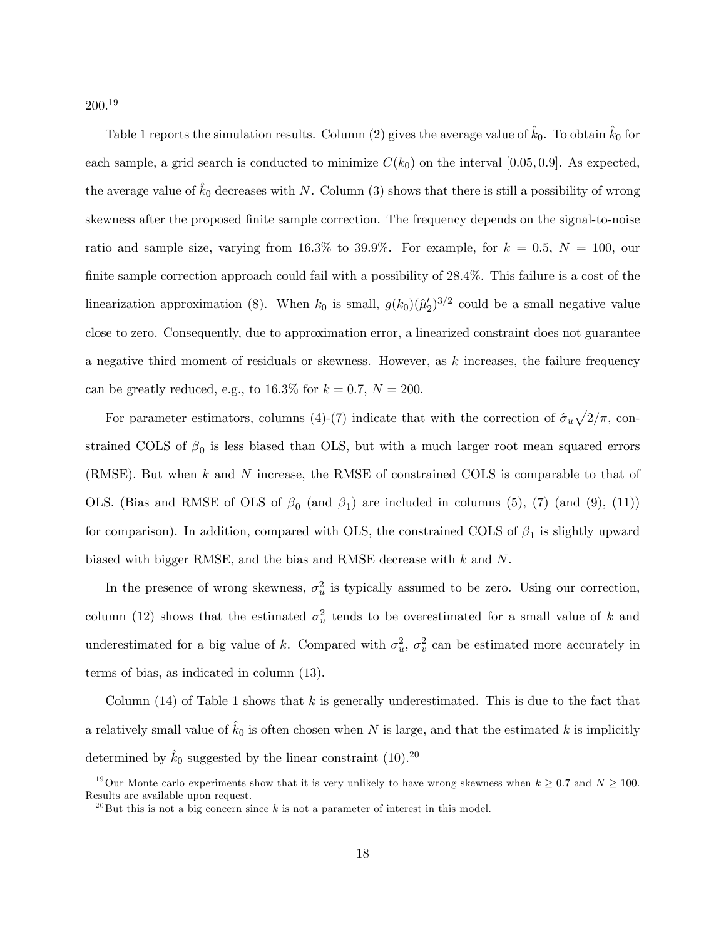$200.^{19}$ 

Table 1 reports the simulation results. Column (2) gives the average value of  $k_0$ . To obtain  $k_0$  for each sample, a grid search is conducted to minimize  $C(k_0)$  on the interval [0.05, 0.9]. As expected, the average value of  $k_0$  decreases with N. Column (3) shows that there is still a possibility of wrong skewness after the proposed finite sample correction. The frequency depends on the signal-to-noise ratio and sample size, varying from 16.3% to 39.9%. For example, for  $k = 0.5$ ,  $N = 100$ , our finite sample correction approach could fail with a possibility of  $28.4\%$ . This failure is a cost of the linearization approximation (8). When  $k_0$  is small,  $g(k_0)(\hat{\mu}'_2)^{3/2}$  could be a small negative value close to zero. Consequently, due to approximation error, a linearized constraint does not guarantee a negative third moment of residuals or skewness. However, as  $k$  increases, the failure frequency can be greatly reduced, e.g., to 16.3% for  $k = 0.7$ ,  $N = 200$ .

For parameter estimators, columns (4)-(7) indicate that with the correction of  $\hat{\sigma}_u \sqrt{2/\pi}$ , constrained COLS of  $\beta_0$  is less biased than OLS, but with a much larger root mean squared errors (RMSE). But when k and N increase, the RMSE of constrained COLS is comparable to that of OLS. (Bias and RMSE of OLS of  $\beta_0$  (and  $\beta_1$ ) are included in columns (5), (7) (and (9), (11)) for comparison). In addition, compared with OLS, the constrained COLS of  $\beta_1$  is slightly upward biased with bigger RMSE, and the bias and RMSE decrease with k and N.

In the presence of wrong skewness,  $\sigma_u^2$  is typically assumed to be zero. Using our correction, column (12) shows that the estimated  $\sigma_u^2$  tends to be overestimated for a small value of k and underestimated for a big value of k. Compared with  $\sigma_u^2$ ,  $\sigma_v^2$  can be estimated more accurately in terms of bias, as indicated in column (13).

Column  $(14)$  of Table 1 shows that k is generally underestimated. This is due to the fact that a relatively small value of  $k_0$  is often chosen when N is large, and that the estimated k is implicitly determined by  $\hat{k}_0$  suggested by the linear constraint (10).<sup>20</sup>

<sup>&</sup>lt;sup>19</sup>Our Monte carlo experiments show that it is very unlikely to have wrong skewness when  $k \geq 0.7$  and  $N \geq 100$ . Results are available upon request.

 $^{20}$ But this is not a big concern since k is not a parameter of interest in this model.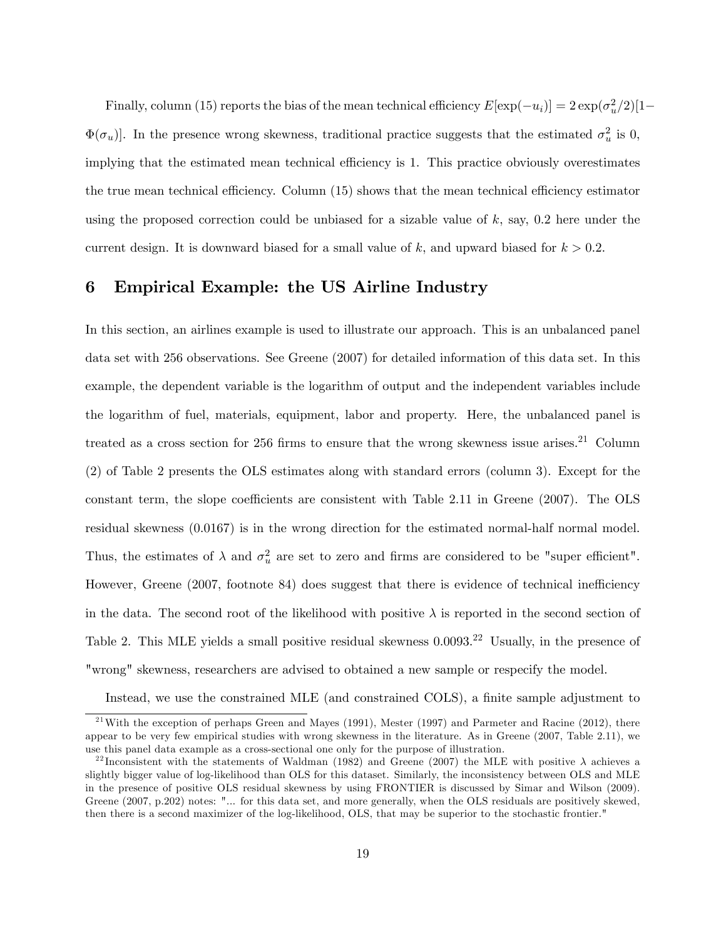Finally, column (15) reports the bias of the mean technical efficiency  $E[\exp(-u_i)] = 2 \exp(\sigma_u^2/2)[1-\sigma_u^2]$  $\Phi(\sigma_u)$ . In the presence wrong skewness, traditional practice suggests that the estimated  $\sigma_u^2$  is 0, implying that the estimated mean technical efficiency is 1. This practice obviously overestimates the true mean technical efficiency. Column  $(15)$  shows that the mean technical efficiency estimator using the proposed correction could be unbiased for a sizable value of k, say,  $0.2$  here under the current design. It is downward biased for a small value of  $k$ , and upward biased for  $k > 0.2$ .

#### 6 Empirical Example: the US Airline Industry

In this section, an airlines example is used to illustrate our approach. This is an unbalanced panel data set with 256 observations. See Greene (2007) for detailed information of this data set. In this example, the dependent variable is the logarithm of output and the independent variables include the logarithm of fuel, materials, equipment, labor and property. Here, the unbalanced panel is treated as a cross section for 256 firms to ensure that the wrong skewness issue arises.<sup>21</sup> Column (2) of Table 2 presents the OLS estimates along with standard errors (column 3). Except for the constant term, the slope coefficients are consistent with Table 2.11 in Greene  $(2007)$ . The OLS residual skewness (0:0167) is in the wrong direction for the estimated normal-half normal model. Thus, the estimates of  $\lambda$  and  $\sigma_u^2$  are set to zero and firms are considered to be "super efficient". However, Greene  $(2007, 600)$  footnote 84) does suggest that there is evidence of technical inefficiency in the data. The second root of the likelihood with positive  $\lambda$  is reported in the second section of Table 2. This MLE yields a small positive residual skewness  $0.0093<sup>22</sup>$  Usually, in the presence of "wrong" skewness, researchers are advised to obtained a new sample or respecify the model.

Instead, we use the constrained MLE (and constrained COLS), a finite sample adjustment to

<sup>&</sup>lt;sup>21</sup>With the exception of perhaps Green and Mayes (1991), Mester (1997) and Parmeter and Racine (2012), there appear to be very few empirical studies with wrong skewness in the literature. As in Greene (2007, Table 2.11), we use this panel data example as a cross-sectional one only for the purpose of illustration.

<sup>&</sup>lt;sup>22</sup> Inconsistent with the statements of Waldman (1982) and Greene (2007) the MLE with positive  $\lambda$  achieves a slightly bigger value of log-likelihood than OLS for this dataset. Similarly, the inconsistency between OLS and MLE in the presence of positive OLS residual skewness by using FRONTIER is discussed by Simar and Wilson (2009). Greene (2007, p.202) notes: "... for this data set, and more generally, when the OLS residuals are positively skewed, then there is a second maximizer of the log-likelihood, OLS, that may be superior to the stochastic frontier."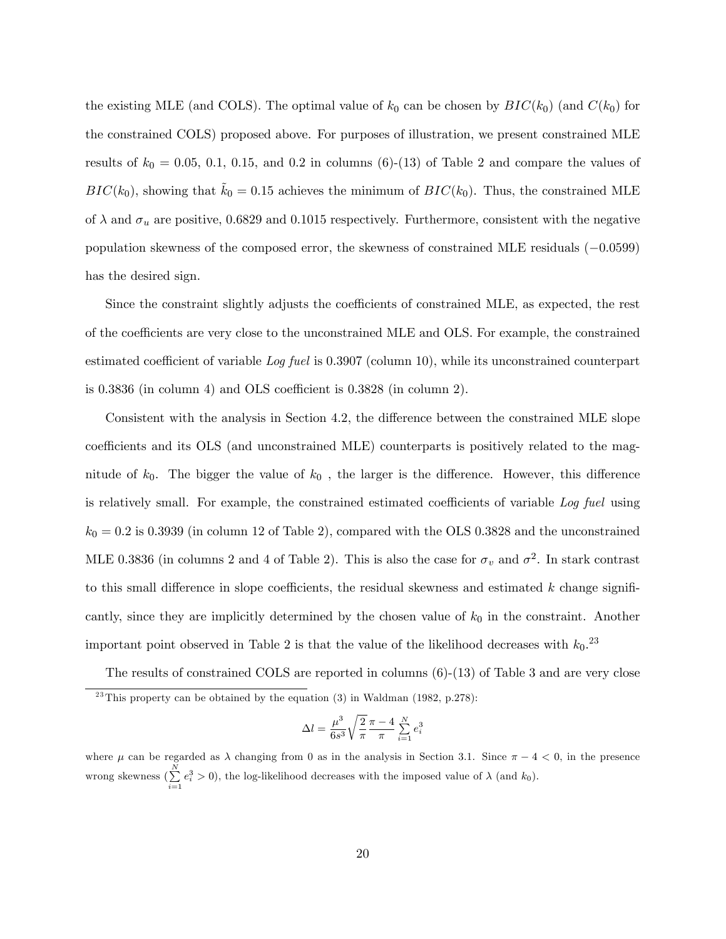the existing MLE (and COLS). The optimal value of  $k_0$  can be chosen by  $BIC(k_0)$  (and  $C(k_0)$  for the constrained COLS) proposed above. For purposes of illustration, we present constrained MLE results of  $k_0 = 0.05, 0.1, 0.15,$  and 0.2 in columns (6)-(13) of Table 2 and compare the values of  $BIC(k_0)$ , showing that  $k_0 = 0.15$  achieves the minimum of  $BIC(k_0)$ . Thus, the constrained MLE of  $\lambda$  and  $\sigma_u$  are positive, 0.6829 and 0.1015 respectively. Furthermore, consistent with the negative population skewness of the composed error, the skewness of constrained MLE residuals  $(-0.0599)$ has the desired sign.

Since the constraint slightly adjusts the coefficients of constrained MLE, as expected, the rest of the coefficients are very close to the unconstrained MLE and OLS. For example, the constrained estimated coefficient of variable  $Log$  fuel is 0.3907 (column 10), while its unconstrained counterpart is  $0.3836$  (in column 4) and OLS coefficient is  $0.3828$  (in column 2).

Consistent with the analysis in Section 4.2, the difference between the constrained MLE slope coefficients and its OLS (and unconstrained MLE) counterparts is positively related to the magnitude of  $k_0$ . The bigger the value of  $k_0$ , the larger is the difference. However, this difference is relatively small. For example, the constrained estimated coefficients of variable  $Log$  fuel using  $k_0 = 0.2$  is 0.3939 (in column 12 of Table 2), compared with the OLS 0.3828 and the unconstrained MLE 0.3836 (in columns 2 and 4 of Table 2). This is also the case for  $\sigma_v$  and  $\sigma^2$ . In stark contrast to this small difference in slope coefficients, the residual skewness and estimated  $k$  change significantly, since they are implicitly determined by the chosen value of  $k_0$  in the constraint. Another important point observed in Table 2 is that the value of the likelihood decreases with  $k_0$ .<sup>23</sup>

The results of constrained COLS are reported in columns (6)-(13) of Table 3 and are very close  $23$ This property can be obtained by the equation (3) in Waldman (1982, p.278):

$$
\Delta l = \frac{\mu^3}{6s^3} \sqrt{\frac{2}{\pi}} \frac{\pi - 4}{\pi} \sum_{i=1}^{N} e_i^3
$$

where  $\mu$  can be regarded as  $\lambda$  changing from 0 as in the analysis in Section 3.1. Since  $\pi - 4 < 0$ , in the presence wrong skewness  $(\sum_{i=1}^{N} e_i^3 > 0)$ , the log-likelihood decreases with the imposed value of  $\lambda$  (and  $k_0$ ).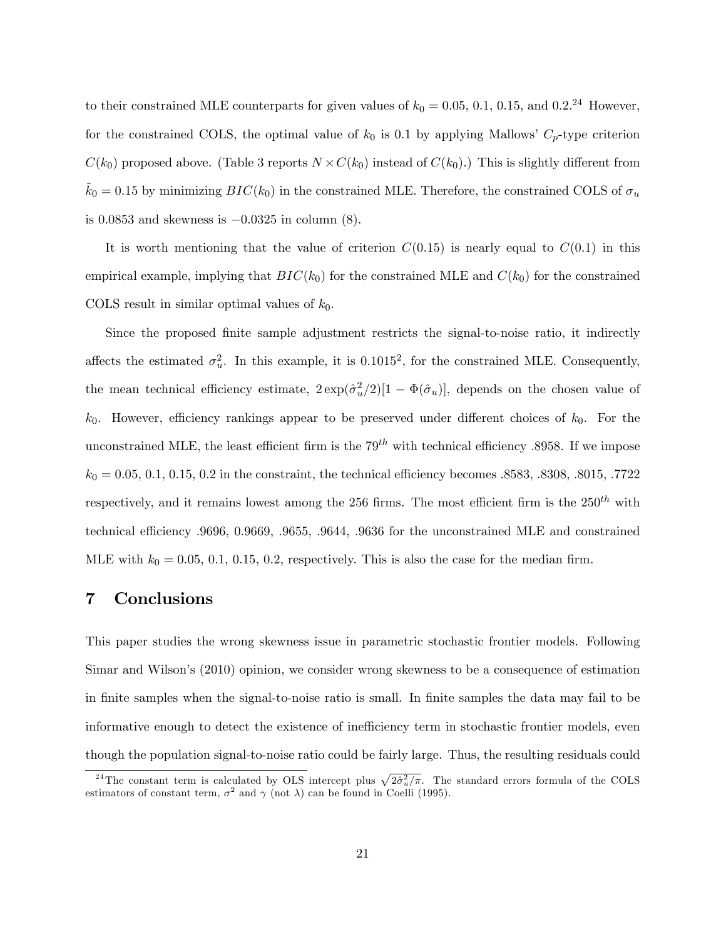to their constrained MLE counterparts for given values of  $k_0 = 0.05, 0.1, 0.15,$  and  $0.2^{24}$  However, for the constrained COLS, the optimal value of  $k_0$  is 0.1 by applying Mallows'  $C_p$ -type criterion  $C(k_0)$  proposed above. (Table 3 reports  $N \times C(k_0)$  instead of  $C(k_0)$ .) This is slightly different from  $\tilde{k}_0 = 0.15$  by minimizing  $BIC(k_0)$  in the constrained MLE. Therefore, the constrained COLS of  $\sigma_u$ is 0.0853 and skewness is  $-0.0325$  in column (8).

It is worth mentioning that the value of criterion  $C(0.15)$  is nearly equal to  $C(0.1)$  in this empirical example, implying that  $BIC(k_0)$  for the constrained MLE and  $C(k_0)$  for the constrained COLS result in similar optimal values of  $k_0$ .

Since the proposed finite sample adjustment restricts the signal-to-noise ratio, it indirectly affects the estimated  $\sigma_u^2$ . In this example, it is 0.1015<sup>2</sup>, for the constrained MLE. Consequently, the mean technical efficiency estimate,  $2 \exp(\hat{\sigma}_u^2/2)[1 - \Phi(\hat{\sigma}_u)]$ , depends on the chosen value of  $k_0$ . However, efficiency rankings appear to be preserved under different choices of  $k_0$ . For the unconstrained MLE, the least efficient firm is the  $79^{th}$  with technical efficiency .8958. If we impose  $k_0 = 0.05, 0.1, 0.15, 0.2$  in the constraint, the technical efficiency becomes .8583, .8308, .8015, .7722 respectively, and it remains lowest among the 256 firms. The most efficient firm is the  $250<sup>th</sup>$  with technical efficiency .9696, 0.9669, .9655, .9644, .9636 for the unconstrained MLE and constrained MLE with  $k_0 = 0.05, 0.1, 0.15, 0.2$ , respectively. This is also the case for the median firm.

#### 7 Conclusions

This paper studies the wrong skewness issue in parametric stochastic frontier models. Following Simar and Wilson's (2010) opinion, we consider wrong skewness to be a consequence of estimation in finite samples when the signal-to-noise ratio is small. In finite samples the data may fail to be informative enough to detect the existence of inefficiency term in stochastic frontier models, even though the population signal-to-noise ratio could be fairly large. Thus, the resulting residuals could

<sup>&</sup>lt;sup>24</sup>The constant term is calculated by OLS intercept plus  $\sqrt{2\hat{\sigma}_u^2/\pi}$ . The standard errors formula of the COLS estimators of constant term,  $\sigma^2$  and  $\gamma$  (not  $\lambda$ ) can be found in Coelli (1995).  $\sqrt{ }$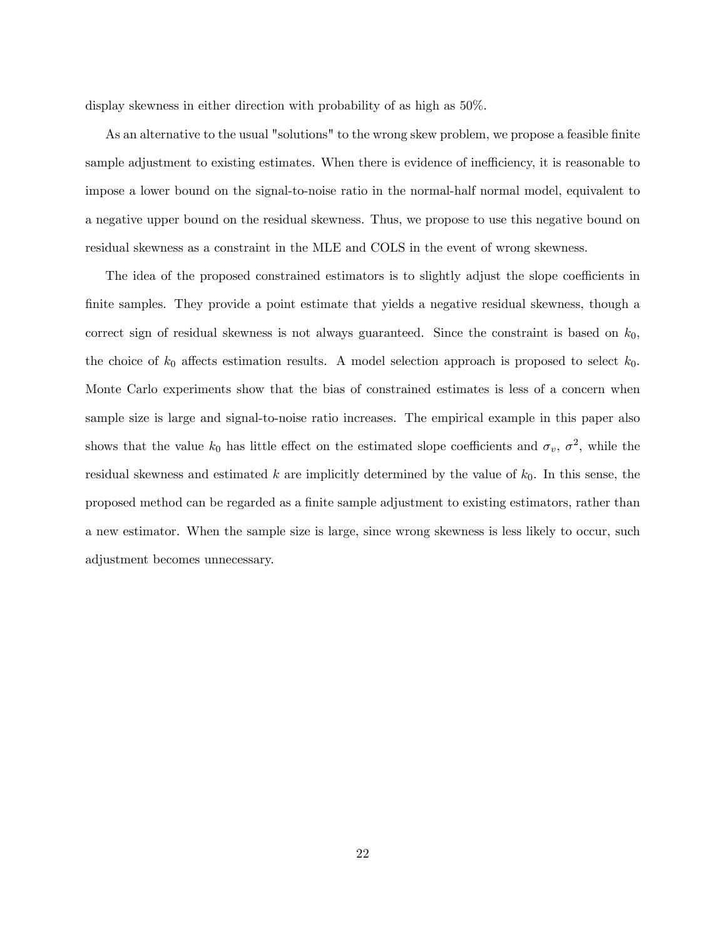display skewness in either direction with probability of as high as 50%.

As an alternative to the usual "solutions" to the wrong skew problem, we propose a feasible finite sample adjustment to existing estimates. When there is evidence of inefficiency, it is reasonable to impose a lower bound on the signal-to-noise ratio in the normal-half normal model, equivalent to a negative upper bound on the residual skewness. Thus, we propose to use this negative bound on residual skewness as a constraint in the MLE and COLS in the event of wrong skewness.

The idea of the proposed constrained estimators is to slightly adjust the slope coefficients in finite samples. They provide a point estimate that yields a negative residual skewness, though a correct sign of residual skewness is not always guaranteed. Since the constraint is based on  $k_0$ , the choice of  $k_0$  affects estimation results. A model selection approach is proposed to select  $k_0$ . Monte Carlo experiments show that the bias of constrained estimates is less of a concern when sample size is large and signal-to-noise ratio increases. The empirical example in this paper also shows that the value  $k_0$  has little effect on the estimated slope coefficients and  $\sigma_v$ ,  $\sigma^2$ , while the residual skewness and estimated  $k$  are implicitly determined by the value of  $k_0$ . In this sense, the proposed method can be regarded as a Önite sample adjustment to existing estimators, rather than a new estimator. When the sample size is large, since wrong skewness is less likely to occur, such adjustment becomes unnecessary.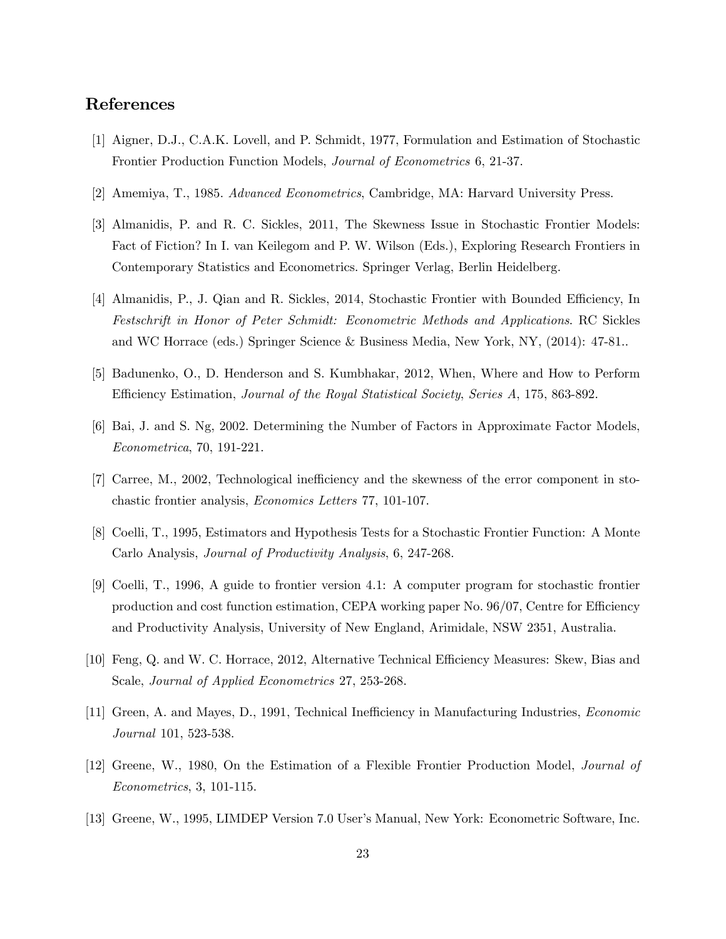#### References

- [1] Aigner, D.J., C.A.K. Lovell, and P. Schmidt, 1977, Formulation and Estimation of Stochastic Frontier Production Function Models, Journal of Econometrics 6, 21-37.
- [2] Amemiya, T., 1985. Advanced Econometrics, Cambridge, MA: Harvard University Press.
- [3] Almanidis, P. and R. C. Sickles, 2011, The Skewness Issue in Stochastic Frontier Models: Fact of Fiction? In I. van Keilegom and P. W. Wilson (Eds.), Exploring Research Frontiers in Contemporary Statistics and Econometrics. Springer Verlag, Berlin Heidelberg.
- [4] Almanidis, P., J. Qian and R. Sickles, 2014, Stochastic Frontier with Bounded Efficiency, In Festschrift in Honor of Peter Schmidt: Econometric Methods and Applications. RC Sickles and WC Horrace (eds.) Springer Science & Business Media, New York, NY, (2014): 47-81..
- [5] Badunenko, O., D. Henderson and S. Kumbhakar, 2012, When, Where and How to Perform Efficiency Estimation, *Journal of the Royal Statistical Society, Series A*, 175, 863-892.
- [6] Bai, J. and S. Ng, 2002. Determining the Number of Factors in Approximate Factor Models, Econometrica, 70, 191-221.
- [7] Carree, M., 2002, Technological inefficiency and the skewness of the error component in stochastic frontier analysis, Economics Letters 77, 101-107.
- [8] Coelli, T., 1995, Estimators and Hypothesis Tests for a Stochastic Frontier Function: A Monte Carlo Analysis, Journal of Productivity Analysis, 6, 247-268.
- [9] Coelli, T., 1996, A guide to frontier version 4.1: A computer program for stochastic frontier production and cost function estimation, CEPA working paper No.  $96/07$ , Centre for Efficiency and Productivity Analysis, University of New England, Arimidale, NSW 2351, Australia.
- [10] Feng, Q. and W. C. Horrace, 2012, Alternative Technical Efficiency Measures: Skew, Bias and Scale, Journal of Applied Econometrics 27, 253-268.
- [11] Green, A. and Mayes, D., 1991, Technical Inefficiency in Manufacturing Industries, *Economic* Journal 101, 523-538.
- [12] Greene, W., 1980, On the Estimation of a Flexible Frontier Production Model, Journal of Econometrics, 3, 101-115.
- [13] Greene, W., 1995, LIMDEP Version 7.0 User's Manual, New York: Econometric Software, Inc.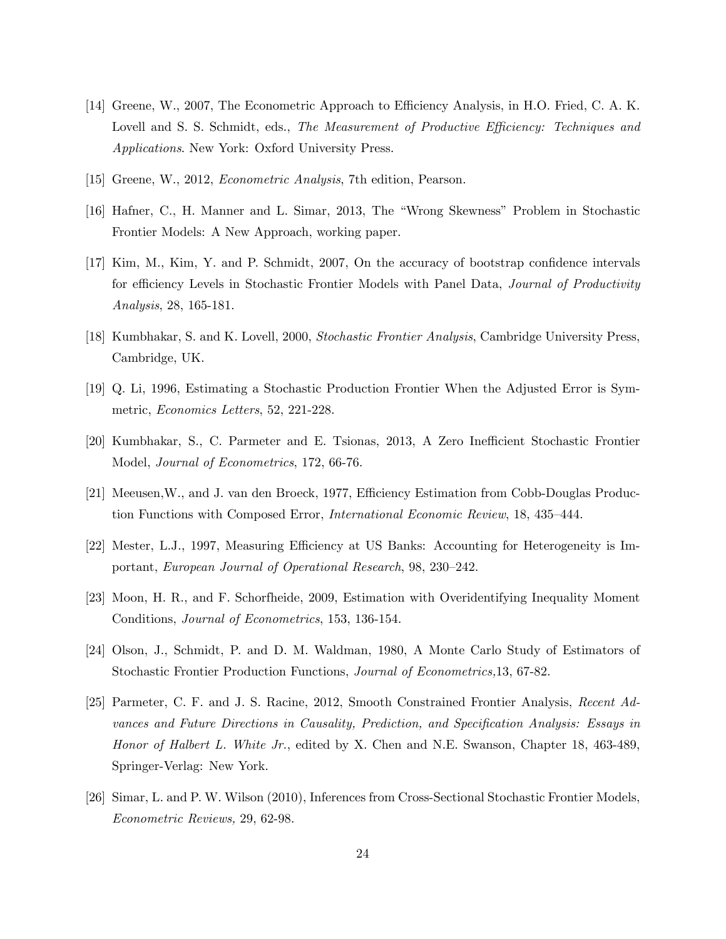- [14] Greene, W., 2007, The Econometric Approach to Efficiency Analysis, in H.O. Fried, C. A. K. Lovell and S. S. Schmidt, eds., The Measurement of Productive Efficiency: Techniques and Applications. New York: Oxford University Press.
- [15] Greene, W., 2012, Econometric Analysis, 7th edition, Pearson.
- [16] Hafner, C., H. Manner and L. Simar, 2013, The "Wrong Skewness" Problem in Stochastic Frontier Models: A New Approach, working paper.
- [17] Kim, M., Kim, Y. and P. Schmidt, 2007, On the accuracy of bootstrap confidence intervals for efficiency Levels in Stochastic Frontier Models with Panel Data, *Journal of Productivity* Analysis, 28, 165-181.
- [18] Kumbhakar, S. and K. Lovell, 2000, Stochastic Frontier Analysis, Cambridge University Press, Cambridge, UK.
- [19] Q. Li, 1996, Estimating a Stochastic Production Frontier When the Adjusted Error is Symmetric, Economics Letters, 52, 221-228.
- [20] Kumbhakar, S., C. Parmeter and E. Tsionas, 2013, A Zero Inefficient Stochastic Frontier Model, Journal of Econometrics, 172, 66-76.
- [21] Meeusen, W., and J. van den Broeck, 1977, Efficiency Estimation from Cobb-Douglas Production Functions with Composed Error, *International Economic Review*, 18, 435-444.
- [22] Mester, L.J., 1997, Measuring Efficiency at US Banks: Accounting for Heterogeneity is Important, European Journal of Operational Research, 98, 230-242.
- [23] Moon, H. R., and F. Schorfheide, 2009, Estimation with Overidentifying Inequality Moment Conditions, Journal of Econometrics, 153, 136-154.
- [24] Olson, J., Schmidt, P. and D. M. Waldman, 1980, A Monte Carlo Study of Estimators of Stochastic Frontier Production Functions, Journal of Econometrics,13, 67-82.
- [25] Parmeter, C. F. and J. S. Racine, 2012, Smooth Constrained Frontier Analysis, Recent Advances and Future Directions in Causality, Prediction, and Specification Analysis: Essays in Honor of Halbert L. White Jr., edited by X. Chen and N.E. Swanson, Chapter 18, 463-489, Springer-Verlag: New York.
- [26] Simar, L. and P. W. Wilson (2010), Inferences from Cross-Sectional Stochastic Frontier Models, Econometric Reviews, 29, 62-98.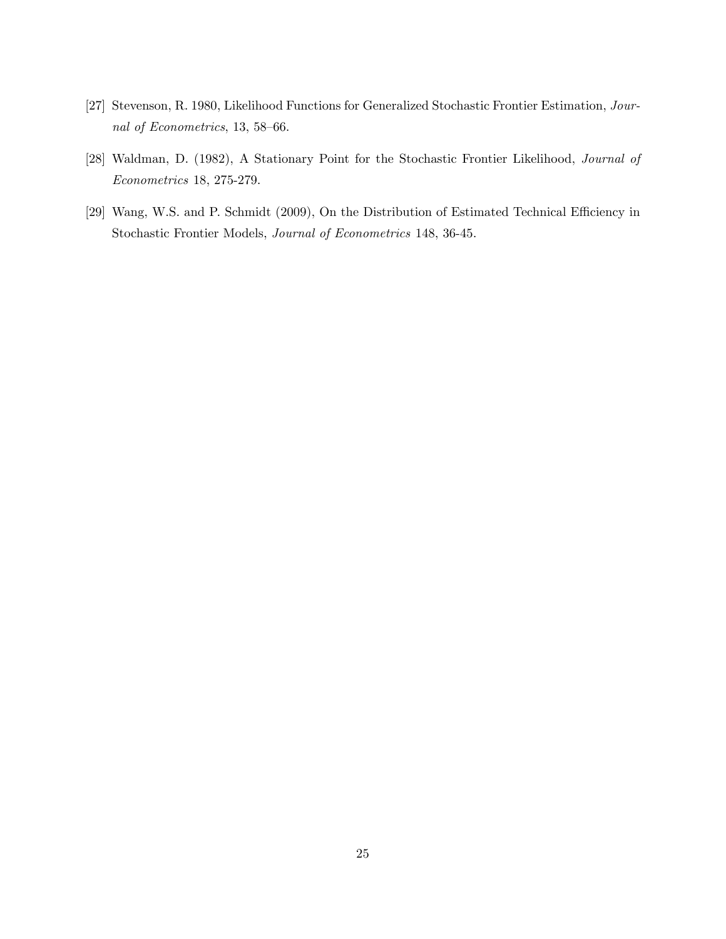- [27] Stevenson, R. 1980, Likelihood Functions for Generalized Stochastic Frontier Estimation, Journal of Econometrics, 13, 58–66.
- [28] Waldman, D. (1982), A Stationary Point for the Stochastic Frontier Likelihood, Journal of Econometrics 18, 275-279.
- [29] Wang, W.S. and P. Schmidt (2009), On the Distribution of Estimated Technical Efficiency in Stochastic Frontier Models, Journal of Econometrics 148, 36-45.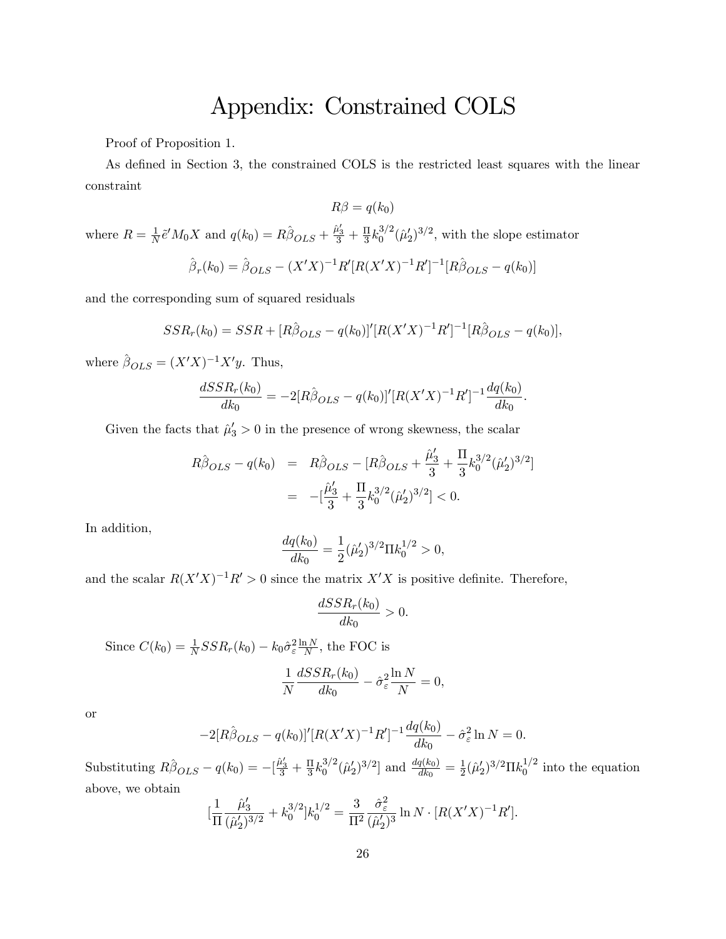## Appendix: Constrained COLS

Proof of Proposition 1.

As defined in Section 3, the constrained COLS is the restricted least squares with the linear constraint

$$
R\beta = q(k_0)
$$

where  $R = \frac{1}{N} \tilde{e}^{\prime} M_0 X$  and  $q(k_0) = R \hat{\beta}_{OLS} + \frac{\tilde{\mu}_3'}{3} + \frac{\Pi}{3} k_0^{3/2} (\tilde{\mu}_2')^{3/2}$ , with the slope estimator

$$
\hat{\beta}_r(k_0) = \hat{\beta}_{OLS} - (X'X)^{-1}R'[R(X'X)^{-1}R']^{-1}[R\hat{\beta}_{OLS} - q(k_0)]
$$

and the corresponding sum of squared residuals

$$
SSR_r(k_0) = SSR + [R\hat{\beta}_{OLS} - q(k_0)]'[R(X'X)^{-1}R']^{-1}[R\hat{\beta}_{OLS} - q(k_0)],
$$

where  $\hat{\beta}_{OLS} = (X'X)^{-1}X'y$ . Thus,

$$
\frac{dSSR_r(k_0)}{dk_0} = -2[R\hat{\beta}_{OLS} - q(k_0)]'[R(X'X)^{-1}R']^{-1}\frac{dq(k_0)}{dk_0}.
$$

Given the facts that  $\hat{\mu}'_3 > 0$  in the presence of wrong skewness, the scalar

$$
R\hat{\beta}_{OLS} - q(k_0) = R\hat{\beta}_{OLS} - [R\hat{\beta}_{OLS} + \frac{\hat{\mu}'_3}{3} + \frac{\Pi}{3}k_0^{3/2}(\hat{\mu}'_2)^{3/2}]
$$
  
= 
$$
-[\frac{\hat{\mu}'_3}{3} + \frac{\Pi}{3}k_0^{3/2}(\hat{\mu}'_2)^{3/2}] < 0.
$$

In addition,

$$
\frac{dq(k_0)}{dk_0} = \frac{1}{2} (\hat{\mu}'_2)^{3/2} \Pi k_0^{1/2} > 0,
$$

and the scalar  $R(X'X)^{-1}R' > 0$  since the matrix  $X'X$  is positive definite. Therefore,

$$
\frac{dSSR_r(k_0)}{dk_0} > 0.
$$

Since  $C(k_0) = \frac{1}{N}SSR_r(k_0) - k_0\hat{\sigma}_{\varepsilon}^2 \frac{\ln N}{N}$ , the FOC is  $\frac{1}{N} \frac{dSSR_r(k_0)}{dk_0} - \hat{\sigma}_{\varepsilon}^2 \frac{\ln N}{N} = 0,$ 

or

$$
-2[R\hat{\beta}_{OLS} - q(k_0)]'[R(X'X)^{-1}R']^{-1}\frac{dq(k_0)}{dk_0} - \hat{\sigma}_{\varepsilon}^2 \ln N = 0.
$$

Substituting  $R\hat{\beta}_{OLS} - q(k_0) = -[\frac{\hat{\mu}_3'}{3} + \frac{\Pi}{3}k_0^{3/2}(\hat{\mu}_2')^{3/2}]$  and  $\frac{dq}{d}$  $[3^{3/2}]$  and  $\frac{dq(k_0)}{dk_0} = \frac{1}{2} (\hat{\mu}'_2)^{3/2} \Pi k_0^{1/2}$  into the equation above, we obtain

$$
\left[\frac{1}{\Pi} \frac{\hat{\mu}'_3}{(\hat{\mu}'_2)^{3/2}} + k_0^{3/2}\right] k_0^{1/2} = \frac{3}{\Pi^2} \frac{\hat{\sigma}_\varepsilon^2}{(\hat{\mu}'_2)^3} \ln N \cdot \left[R(X'X)^{-1}R'\right].
$$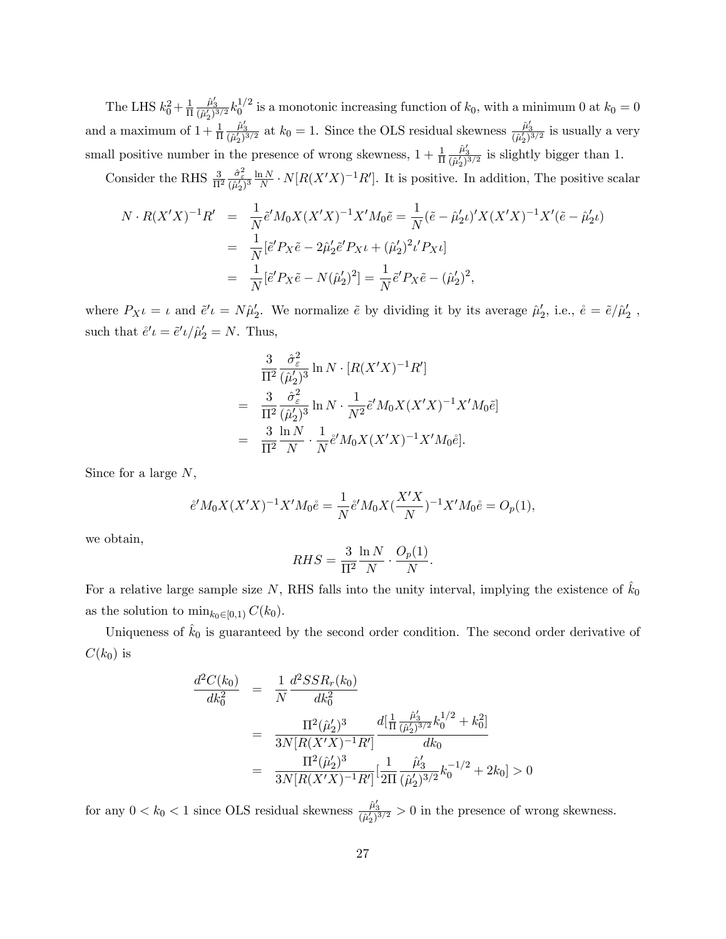The LHS  $k_0^2 + \frac{1}{\Pi} \frac{\hat{\mu}_3'}{(\hat{\mu}_3')^3/2} k_0^{1/2}$  $\frac{2}{0} + \frac{1}{\Pi} \frac{\mu_3}{(\hat{\mu}_2')^{3/2}} k_0^{1/2}$  is a monotonic increasing function of  $k_0$ , with a minimum 0 at  $k_0 = 0$ and a maximum of  $1 + \frac{1}{\Pi} \frac{\hat{\mu}_3}{(\hat{\mu}_2')^{3/2}}$  at  $k_0 = 1$ . Since the OLS residual skewness  $\frac{\hat{\mu}_3'}{(\hat{\mu}_2')^{3/2}}$  is usually a very small positive number in the presence of wrong skewness,  $1 + \frac{1}{\Pi} \frac{\hat{\mu}'_3}{(\hat{\mu}'_2)^{3/2}}$  is slightly bigger than 1.

Consider the RHS  $\frac{3}{\Pi^2} \frac{\partial^2_{\varepsilon}}{(\hat{\mu}'_2)^3} \frac{\ln N}{N} \cdot N[R(X'X)^{-1}R']$ . It is positive. In addition, The positive scalar

$$
N \cdot R(X'X)^{-1}R' = \frac{1}{N} \tilde{e}' M_0 X (X'X)^{-1} X' M_0 \tilde{e} = \frac{1}{N} (\tilde{e} - \hat{\mu}_2' \iota)' X (X'X)^{-1} X' (\tilde{e} - \hat{\mu}_2' \iota)
$$
  

$$
= \frac{1}{N} [\tilde{e}' P_X \tilde{e} - 2\hat{\mu}_2' \tilde{e}' P_{X} \iota + (\hat{\mu}_2')^2 \iota' P_{X} \iota]
$$
  

$$
= \frac{1}{N} [\tilde{e}' P_X \tilde{e} - N(\hat{\mu}_2')^2] = \frac{1}{N} \tilde{e}' P_X \tilde{e} - (\hat{\mu}_2')^2,
$$

where  $P_{X}\iota = \iota$  and  $\tilde{e}'\iota = N\hat{\mu}'_2$ . We normalize  $\tilde{e}$  by dividing it by its average  $\hat{\mu}'_2$ , i.e.,  $\dot{e} = \tilde{e}/\hat{\mu}'_2$ , such that  $\mathring{e}'\iota = \mathring{e}'\iota/\hat{\mu}'_2 = N$ . Thus,

$$
\frac{3}{\Pi^2} \frac{\hat{\sigma}_{\varepsilon}^2}{(\hat{\mu}_2')^3} \ln N \cdot [R(X'X)^{-1}R']
$$
\n
$$
= \frac{3}{\Pi^2} \frac{\hat{\sigma}_{\varepsilon}^2}{(\hat{\mu}_2')^3} \ln N \cdot \frac{1}{N^2} \hat{e}' M_0 X (X'X)^{-1} X' M_0 \hat{e}]
$$
\n
$$
= \frac{3}{\Pi^2} \frac{\ln N}{N} \cdot \frac{1}{N} \hat{e}' M_0 X (X'X)^{-1} X' M_0 \hat{e}].
$$

Since for a large  $N$ ,

$$
\mathring{e}'M_0X(X'X)^{-1}X'M_0\mathring{e} = \frac{1}{N}\mathring{e}'M_0X(\frac{X'X}{N})^{-1}X'M_0\mathring{e} = O_p(1),
$$

we obtain,

$$
RHS = \frac{3}{\Pi^2} \frac{\ln N}{N} \cdot \frac{O_p(1)}{N}.
$$

For a relative large sample size N, RHS falls into the unity interval, implying the existence of  $\hat{k}_0$ as the solution to  $\min_{k_0\in[0,1)} C(k_0)$ .

Uniqueness of  $\hat{k}_0$  is guaranteed by the second order condition. The second order derivative of  $C(k_0)$  is

$$
\frac{d^2C(k_0)}{dk_0^2} = \frac{1}{N} \frac{d^2SSR_r(k_0)}{dk_0^2}
$$
\n
$$
= \frac{\Pi^2(\hat{\mu}_2')^3}{3N[R(X'X)^{-1}R']} \frac{d[\frac{1}{\Pi} \frac{\hat{\mu}_3'}{(\hat{\mu}_2')^{3/2}} k_0^{1/2} + k_0^2]}{dk_0}
$$
\n
$$
= \frac{\Pi^2(\hat{\mu}_2')^3}{3N[R(X'X)^{-1}R']} [\frac{1}{2\Pi} \frac{\hat{\mu}_3'}{(\hat{\mu}_2')^{3/2}} k_0^{-1/2} + 2k_0] > 0
$$

for any  $0 < k_0 < 1$  since OLS residual skewness  $\frac{\hat{\mu}'_3}{(\hat{\mu}'_2)^{3/2}} > 0$  in the presence of wrong skewness.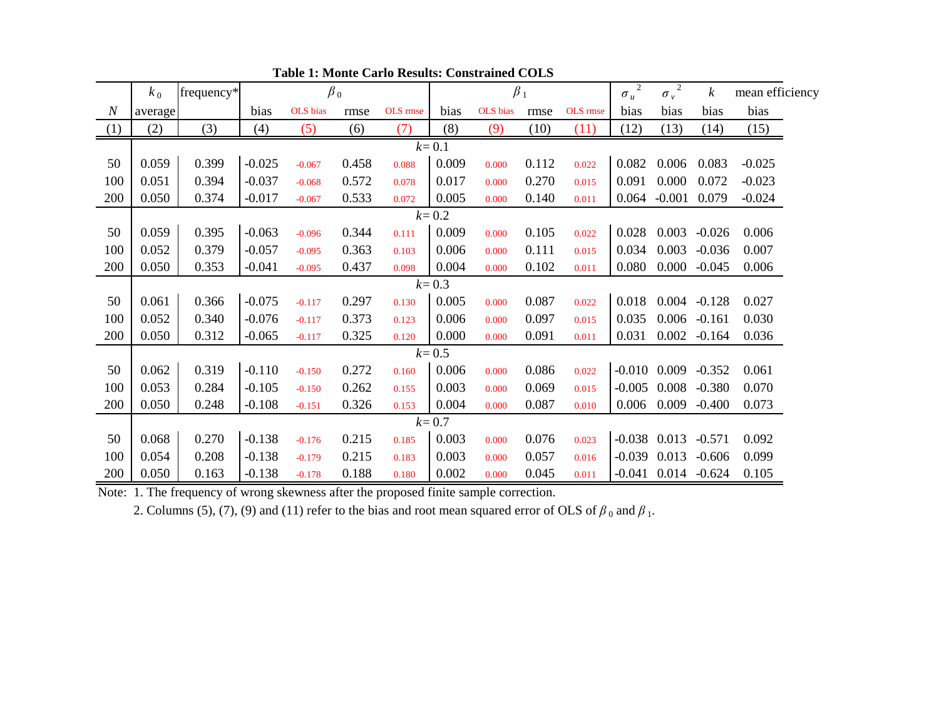|                  | $k_0$     | frequency* | $\beta_0$ |          |       |          | $\beta_1$ |          |       |          | $\sqrt{2}$<br>$\sigma_u$ | $\sigma_v^2$     | $\boldsymbol{k}$ | mean efficiency |
|------------------|-----------|------------|-----------|----------|-------|----------|-----------|----------|-------|----------|--------------------------|------------------|------------------|-----------------|
| $\boldsymbol{N}$ | average   |            | bias      | OLS bias | rmse  | OLS rmse | bias      | OLS bias | rmse  | OLS rmse | bias                     | bias             | bias             | bias            |
| (1)              | (2)       | (3)        | (4)       | (5)      | (6)   | (7)      | (8)       | (9)      | (10)  | (11)     | (12)                     | (13)             | (14)             | (15)            |
|                  | $k=0.1$   |            |           |          |       |          |           |          |       |          |                          |                  |                  |                 |
| 50               | 0.059     | 0.399      | $-0.025$  | $-0.067$ | 0.458 | 0.088    | 0.009     | 0.000    | 0.112 | 0.022    | 0.082                    | 0.006            | 0.083            | $-0.025$        |
| 100              | 0.051     | 0.394      | $-0.037$  | $-0.068$ | 0.572 | 0.078    | 0.017     | 0.000    | 0.270 | 0.015    | 0.091                    | 0.000            | 0.072            | $-0.023$        |
| 200              | 0.050     | 0.374      | $-0.017$  | $-0.067$ | 0.533 | 0.072    | 0.005     | 0.000    | 0.140 | 0.011    | 0.064                    | $-0.001$         | 0.079            | $-0.024$        |
|                  |           |            |           |          |       |          | $k = 0.2$ |          |       |          |                          |                  |                  |                 |
| 50               | 0.059     | 0.395      | $-0.063$  | $-0.096$ | 0.344 | 0.111    | 0.009     | 0.000    | 0.105 | 0.022    | 0.028                    | 0.003            | $-0.026$         | 0.006           |
| 100              | 0.052     | 0.379      | $-0.057$  | $-0.095$ | 0.363 | 0.103    | 0.006     | 0.000    | 0.111 | 0.015    | 0.034                    | 0.003            | $-0.036$         | 0.007           |
| 200              | 0.050     | 0.353      | $-0.041$  | $-0.095$ | 0.437 | 0.098    | 0.004     | 0.000    | 0.102 | 0.011    | 0.080                    | 0.000            | $-0.045$         | 0.006           |
|                  |           |            |           |          |       |          | $k = 0.3$ |          |       |          |                          |                  |                  |                 |
| 50               | 0.061     | 0.366      | $-0.075$  | $-0.117$ | 0.297 | 0.130    | 0.005     | 0.000    | 0.087 | 0.022    | 0.018                    | 0.004            | $-0.128$         | 0.027           |
| 100              | 0.052     | 0.340      | $-0.076$  | $-0.117$ | 0.373 | 0.123    | 0.006     | 0.000    | 0.097 | 0.015    | 0.035                    | 0.006            | $-0.161$         | 0.030           |
| 200              | 0.050     | 0.312      | $-0.065$  | $-0.117$ | 0.325 | 0.120    | 0.000     | 0.000    | 0.091 | 0.011    | 0.031                    | 0.002            | $-0.164$         | 0.036           |
|                  |           |            |           |          |       |          | $k = 0.5$ |          |       |          |                          |                  |                  |                 |
| 50               | 0.062     | 0.319      | $-0.110$  | $-0.150$ | 0.272 | 0.160    | 0.006     | 0.000    | 0.086 | 0.022    |                          | $-0.010$ $0.009$ | $-0.352$         | 0.061           |
| 100              | 0.053     | 0.284      | $-0.105$  | $-0.150$ | 0.262 | 0.155    | 0.003     | 0.000    | 0.069 | 0.015    | $-0.005$                 | 0.008            | $-0.380$         | 0.070           |
| 200              | 0.050     | 0.248      | $-0.108$  | $-0.151$ | 0.326 | 0.153    | 0.004     | 0.000    | 0.087 | 0.010    | 0.006                    | 0.009            | $-0.400$         | 0.073           |
|                  | $k = 0.7$ |            |           |          |       |          |           |          |       |          |                          |                  |                  |                 |
| 50               | 0.068     | 0.270      | $-0.138$  | $-0.176$ | 0.215 | 0.185    | 0.003     | 0.000    | 0.076 | 0.023    |                          | $-0.038$ 0.013   | $-0.571$         | 0.092           |
| 100              | 0.054     | 0.208      | $-0.138$  | $-0.179$ | 0.215 | 0.183    | 0.003     | 0.000    | 0.057 | 0.016    | $-0.039$                 | 0.013            | $-0.606$         | 0.099           |
| 200              | 0.050     | 0.163      | $-0.138$  | $-0.178$ | 0.188 | 0.180    | 0.002     | 0.000    | 0.045 | 0.011    |                          | $-0.041$ 0.014   | $-0.624$         | 0.105           |

**Table 1: Monte Carlo Results: Constrained COLS** 

Note: 1. The frequency of wrong skewness after the proposed finite sample correction.

2. Columns (5), (7), (9) and (11) refer to the bias and root mean squared error of OLS of  $\beta_0$  and  $\beta_1$ .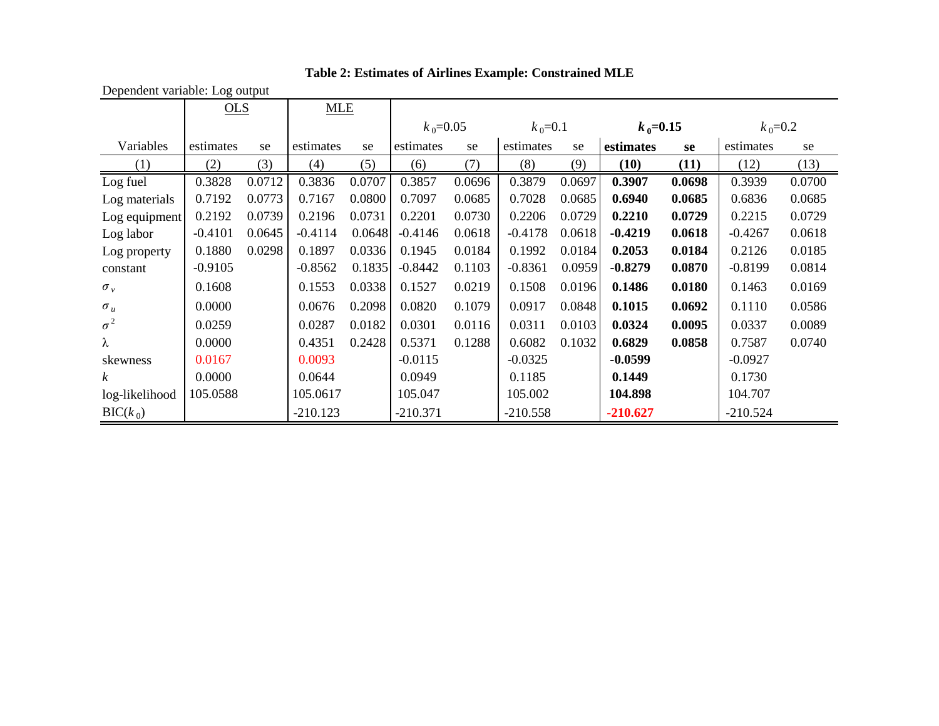|                  | . <b>.</b><br>OLS |        |            | <b>MLE</b> |             |        |             |        |             |        |             |        |
|------------------|-------------------|--------|------------|------------|-------------|--------|-------------|--------|-------------|--------|-------------|--------|
|                  |                   |        |            |            | $k_0$ =0.05 |        | $k_0 = 0.1$ |        | $k_0$ =0.15 |        | $k_0 = 0.2$ |        |
| Variables        | estimates         | se     | estimates  | se         | estimates   | se     | estimates   | se     | estimates   | se     | estimates   | se     |
| (1)              | (2)               | (3)    | (4)        | (5)        | (6)         | (7)    | (8)         | (9)    | (10)        | (11)   | (12)        | (13)   |
| Log fuel         | 0.3828            | 0.0712 | 0.3836     | 0.0707     | 0.3857      | 0.0696 | 0.3879      | 0.0697 | 0.3907      | 0.0698 | 0.3939      | 0.0700 |
| Log materials    | 0.7192            | 0.0773 | 0.7167     | 0.0800     | 0.7097      | 0.0685 | 0.7028      | 0.0685 | 0.6940      | 0.0685 | 0.6836      | 0.0685 |
| Log equipment    | 0.2192            | 0.0739 | 0.2196     | 0.0731     | 0.2201      | 0.0730 | 0.2206      | 0.0729 | 0.2210      | 0.0729 | 0.2215      | 0.0729 |
| Log labor        | $-0.4101$         | 0.0645 | $-0.4114$  | 0.0648     | $-0.4146$   | 0.0618 | $-0.4178$   | 0.0618 | $-0.4219$   | 0.0618 | $-0.4267$   | 0.0618 |
| Log property     | 0.1880            | 0.0298 | 0.1897     | 0.0336     | 0.1945      | 0.0184 | 0.1992      | 0.0184 | 0.2053      | 0.0184 | 0.2126      | 0.0185 |
| constant         | $-0.9105$         |        | $-0.8562$  | 0.1835     | $-0.8442$   | 0.1103 | $-0.8361$   | 0.0959 | $-0.8279$   | 0.0870 | $-0.8199$   | 0.0814 |
| $\sigma_v$       | 0.1608            |        | 0.1553     | 0.0338     | 0.1527      | 0.0219 | 0.1508      | 0.0196 | 0.1486      | 0.0180 | 0.1463      | 0.0169 |
| $\sigma_u$       | 0.0000            |        | 0.0676     | 0.2098     | 0.0820      | 0.1079 | 0.0917      | 0.0848 | 0.1015      | 0.0692 | 0.1110      | 0.0586 |
| $\sigma^2$       | 0.0259            |        | 0.0287     | 0.0182     | 0.0301      | 0.0116 | 0.0311      | 0.0103 | 0.0324      | 0.0095 | 0.0337      | 0.0089 |
| λ                | 0.0000            |        | 0.4351     | 0.2428     | 0.5371      | 0.1288 | 0.6082      | 0.1032 | 0.6829      | 0.0858 | 0.7587      | 0.0740 |
| skewness         | 0.0167            |        | 0.0093     |            | $-0.0115$   |        | $-0.0325$   |        | $-0.0599$   |        | $-0.0927$   |        |
| $\boldsymbol{k}$ | 0.0000            |        | 0.0644     |            | 0.0949      |        | 0.1185      |        | 0.1449      |        | 0.1730      |        |
| log-likelihood   | 105.0588          |        | 105.0617   |            | 105.047     |        | 105.002     |        | 104.898     |        | 104.707     |        |
| $BIC(k_0)$       |                   |        | $-210.123$ |            | $-210.371$  |        | $-210.558$  |        | $-210.627$  |        | $-210.524$  |        |

**Table 2: Estimates of Airlines Example: Constrained MLE** 

Dependent variable: Log output